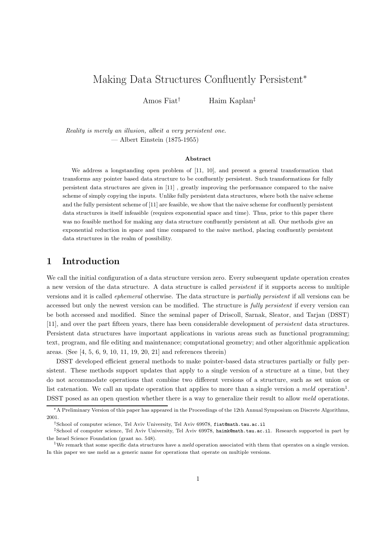# Making Data Structures Confluently Persistent<sup>∗</sup>

Amos Fiat† Haim Kaplan‡

Reality is merely an illusion, albeit a very persistent one. — Albert Einstein (1875-1955)

#### Abstract

We address a longstanding open problem of [11, 10], and present a general transformation that transforms any pointer based data structure to be confluently persistent. Such transformations for fully persistent data structures are given in [11] , greatly improving the performance compared to the naive scheme of simply copying the inputs. Unlike fully persistent data structures, where both the naive scheme and the fully persistent scheme of [11] are feasible, we show that the naive scheme for confluently persistent data structures is itself infeasible (requires exponential space and time). Thus, prior to this paper there was no feasible method for making any data structure confluently persistent at all. Our methods give an exponential reduction in space and time compared to the naive method, placing confluently persistent data structures in the realm of possibility.

# 1 Introduction

We call the initial configuration of a data structure version zero. Every subsequent update operation creates a new version of the data structure. A data structure is called persistent if it supports access to multiple versions and it is called ephemeral otherwise. The data structure is partially persistent if all versions can be accessed but only the newest version can be modified. The structure is fully persistent if every version can be both accessed and modified. Since the seminal paper of Driscoll, Sarnak, Sleator, and Tarjan (DSST) [11], and over the part fifteen years, there has been considerable development of persistent data structures. Persistent data structures have important applications in various areas such as functional programming; text, program, and file editing and maintenance; computational geometry; and other algorithmic application areas. (See [4, 5, 6, 9, 10, 11, 19, 20, 21] and references therein)

DSST developed efficient general methods to make pointer-based data structures partially or fully persistent. These methods support updates that apply to a single version of a structure at a time, but they do not accommodate operations that combine two different versions of a structure, such as set union or list catenation. We call an update operation that applies to more than a single version a meld operation<sup>1</sup>. DSST posed as an open question whether there is a way to generalize their result to allow meld operations.

<sup>∗</sup>A Preliminary Version of this paper has appeared in the Proceedings of the 12th Annual Symposium on Discrete Algorithms, 2001.

<sup>†</sup>School of computer science, Tel Aviv University, Tel Aviv 69978, fiat@math.tau.ac.il

<sup>‡</sup>School of computer science, Tel Aviv University, Tel Aviv 69978, haimk@math.tau.ac.il. Research supported in part by the Israel Science Foundation (grant no. 548).

<sup>&</sup>lt;sup>1</sup>We remark that some specific data structures have a meld operation associated with them that operates on a single version. In this paper we use meld as a generic name for operations that operate on multiple versions.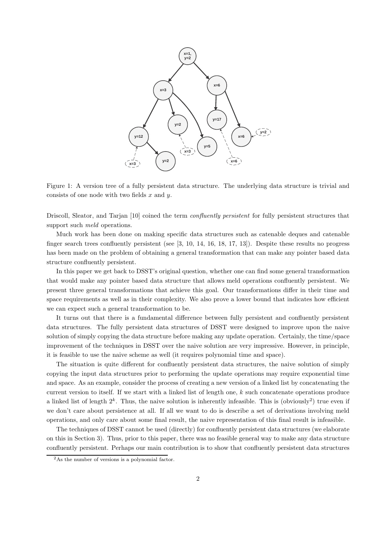

Figure 1: A version tree of a fully persistent data structure. The underlying data structure is trivial and consists of one node with two fields  $x$  and  $y$ .

Driscoll, Sleator, and Tarjan [10] coined the term *confluently persistent* for fully persistent structures that support such *meld* operations.

Much work has been done on making specific data structures such as catenable deques and catenable finger search trees confluently persistent (see [3, 10, 14, 16, 18, 17, 13]). Despite these results no progress has been made on the problem of obtaining a general transformation that can make any pointer based data structure confluently persistent.

In this paper we get back to DSST's original question, whether one can find some general transformation that would make any pointer based data structure that allows meld operations confluently persistent. We present three general transformations that achieve this goal. Our transformations differ in their time and space requirements as well as in their complexity. We also prove a lower bound that indicates how efficient we can expect such a general transformation to be.

It turns out that there is a fundamental difference between fully persistent and confluently persistent data structures. The fully persistent data structures of DSST were designed to improve upon the naive solution of simply copying the data structure before making any update operation. Certainly, the time/space improvement of the techniques in DSST over the naive solution are very impressive. However, in principle, it is feasible to use the naive scheme as well (it requires polynomial time and space).

The situation is quite different for confluently persistent data structures, the naive solution of simply copying the input data structures prior to performing the update operations may require exponential time and space. As an example, consider the process of creating a new version of a linked list by concatenating the current version to itself. If we start with a linked list of length one, k such concatenate operations produce a linked list of length  $2^k$ . Thus, the naive solution is inherently infeasible. This is (obviously<sup>2</sup>) true even if we don't care about persistence at all. If all we want to do is describe a set of derivations involving meld operations, and only care about some final result, the naive representation of this final result is infeasible.

The techniques of DSST cannot be used (directly) for confluently persistent data structures (we elaborate on this in Section 3). Thus, prior to this paper, there was no feasible general way to make any data structure confluently persistent. Perhaps our main contribution is to show that confluently persistent data structures

<sup>2</sup>As the number of versions is a polynomial factor.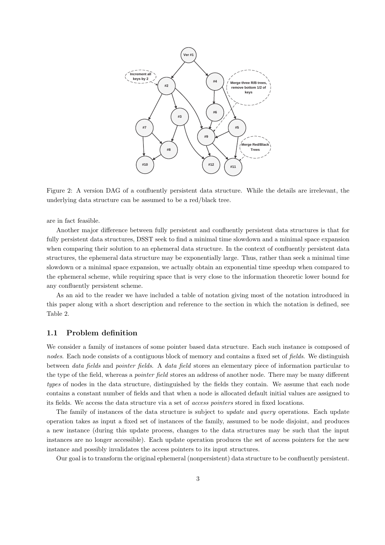

Figure 2: A version DAG of a confluently persistent data structure. While the details are irrelevant, the underlying data structure can be assumed to be a red/black tree.

are in fact feasible.

Another major difference between fully persistent and confluently persistent data structures is that for fully persistent data structures, DSST seek to find a minimal time slowdown and a minimal space expansion when comparing their solution to an ephemeral data structure. In the context of confluently persistent data structures, the ephemeral data structure may be exponentially large. Thus, rather than seek a minimal time slowdown or a minimal space expansion, we actually obtain an exponential time speedup when compared to the ephemeral scheme, while requiring space that is very close to the information theoretic lower bound for any confluently persistent scheme.

As an aid to the reader we have included a table of notation giving most of the notation introduced in this paper along with a short description and reference to the section in which the notation is defined, see Table 2.

## 1.1 Problem definition

We consider a family of instances of some pointer based data structure. Each such instance is composed of nodes. Each node consists of a contiguous block of memory and contains a fixed set of fields. We distinguish between data fields and pointer fields. A data field stores an elementary piece of information particular to the type of the field, whereas a pointer field stores an address of another node. There may be many different types of nodes in the data structure, distinguished by the fields they contain. We assume that each node contains a constant number of fields and that when a node is allocated default initial values are assigned to its fields. We access the data structure via a set of access pointers stored in fixed locations.

The family of instances of the data structure is subject to *update* and *query* operations. Each update operation takes as input a fixed set of instances of the family, assumed to be node disjoint, and produces a new instance (during this update process, changes to the data structures may be such that the input instances are no longer accessible). Each update operation produces the set of access pointers for the new instance and possibly invalidates the access pointers to its input structures.

Our goal is to transform the original ephemeral (nonpersistent) data structure to be confluently persistent.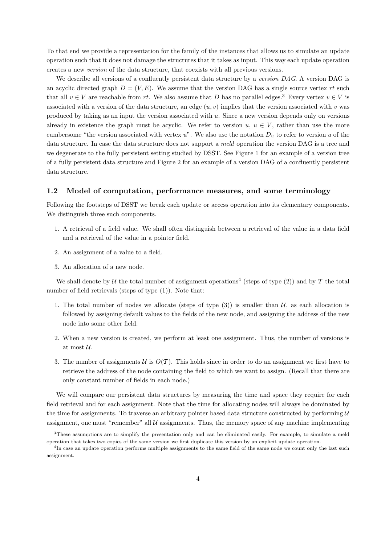To that end we provide a representation for the family of the instances that allows us to simulate an update operation such that it does not damage the structures that it takes as input. This way each update operation creates a new version of the data structure, that coexists with all previous versions.

We describe all versions of a confluently persistent data structure by a version DAG. A version DAG is an acyclic directed graph  $D = (V, E)$ . We assume that the version DAG has a single source vertex rt such that all  $v \in V$  are reachable from rt. We also assume that D has no parallel edges.<sup>3</sup> Every vertex  $v \in V$  is associated with a version of the data structure, an edge  $(u, v)$  implies that the version associated with v was produced by taking as an input the version associated with u. Since a new version depends only on versions already in existence the graph must be acyclic. We refer to version  $u, u \in V$ , rather than use the more cumbersome "the version associated with vertex  $u$ ". We also use the notation  $D_u$  to refer to version u of the data structure. In case the data structure does not support a meld operation the version DAG is a tree and we degenerate to the fully persistent setting studied by DSST. See Figure 1 for an example of a version tree of a fully persistent data structure and Figure 2 for an example of a version DAG of a confluently persistent data structure.

## 1.2 Model of computation, performance measures, and some terminology

Following the footsteps of DSST we break each update or access operation into its elementary components. We distinguish three such components.

- 1. A retrieval of a field value. We shall often distinguish between a retrieval of the value in a data field and a retrieval of the value in a pointer field.
- 2. An assignment of a value to a field.
- 3. An allocation of a new node.

We shall denote by U the total number of assignment operations<sup>4</sup> (steps of type (2)) and by T the total number of field retrievals (steps of type  $(1)$ ). Note that:

- 1. The total number of nodes we allocate (steps of type  $(3)$ ) is smaller than  $\mathcal{U}$ , as each allocation is followed by assigning default values to the fields of the new node, and assigning the address of the new node into some other field.
- 2. When a new version is created, we perform at least one assignment. Thus, the number of versions is at most  $\mathcal{U}$ .
- 3. The number of assignments  $U$  is  $O(T)$ . This holds since in order to do an assignment we first have to retrieve the address of the node containing the field to which we want to assign. (Recall that there are only constant number of fields in each node.)

We will compare our persistent data structures by measuring the time and space they require for each field retrieval and for each assignment. Note that the time for allocating nodes will always be dominated by the time for assignments. To traverse an arbitrary pointer based data structure constructed by performing  $U$ assignment, one must "remember" all  $U$  assignments. Thus, the memory space of any machine implementing

<sup>3</sup>These assumptions are to simplify the presentation only and can be eliminated easily. For example, to simulate a meld operation that takes two copies of the same version we first duplicate this version by an explicit update operation.

<sup>&</sup>lt;sup>4</sup>In case an update operation performs multiple assignments to the same field of the same node we count only the last such assignment.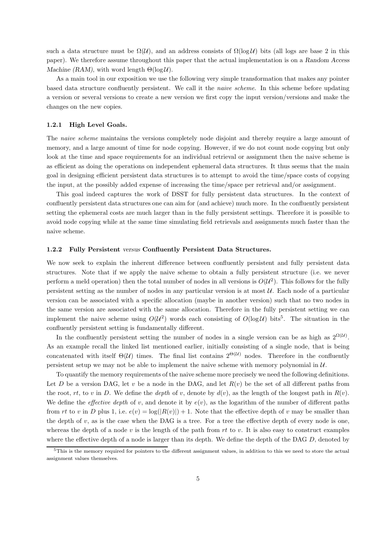such a data structure must be  $\Omega(\mathcal{U})$ , and an address consists of  $\Omega(\log \mathcal{U})$  bits (all logs are base 2 in this paper). We therefore assume throughout this paper that the actual implementation is on a Random Access Machine (RAM), with word length  $\Theta(\log \mathcal{U})$ .

As a main tool in our exposition we use the following very simple transformation that makes any pointer based data structure confluently persistent. We call it the naive scheme. In this scheme before updating a version or several versions to create a new version we first copy the input version/versions and make the changes on the new copies.

#### 1.2.1 High Level Goals.

The naive scheme maintains the versions completely node disjoint and thereby require a large amount of memory, and a large amount of time for node copying. However, if we do not count node copying but only look at the time and space requirements for an individual retrieval or assignment then the naive scheme is as efficient as doing the operations on independent ephemeral data structures. It thus seems that the main goal in designing efficient persistent data structures is to attempt to avoid the time/space costs of copying the input, at the possibly added expense of increasing the time/space per retrieval and/or assignment.

This goal indeed captures the work of DSST for fully persistent data structures. In the context of confluently persistent data structures one can aim for (and achieve) much more. In the confluently persistent setting the ephemeral costs are much larger than in the fully persistent settings. Therefore it is possible to avoid node copying while at the same time simulating field retrievals and assignments much faster than the naive scheme.

#### 1.2.2 Fully Persistent versus Confluently Persistent Data Structures.

We now seek to explain the inherent difference between confluently persistent and fully persistent data structures. Note that if we apply the naive scheme to obtain a fully persistent structure (i.e. we never perform a meld operation) then the total number of nodes in all versions is  $O(U^2)$ . This follows for the fully persistent setting as the number of nodes in any particular version is at most  $\mathcal{U}$ . Each node of a particular version can be associated with a specific allocation (maybe in another version) such that no two nodes in the same version are associated with the same allocation. Therefore in the fully persistent setting we can implement the naive scheme using  $O(\mathcal{U}^2)$  words each consisting of  $O(\log \mathcal{U})$  bits<sup>5</sup>. The situation in the confluently persistent setting is fundamentally different.

In the confluently persistent setting the number of nodes in a single version can be as high as  $2^{\Omega(U)}$ . As an example recall the linked list mentioned earlier, initially consisting of a single node, that is being concatenated with itself  $\Theta(\mathcal{U})$  times. The final list contains  $2^{\Theta(\mathcal{U})}$  nodes. Therefore in the confluently persistent setup we may not be able to implement the naive scheme with memory polynomial in  $\mathcal{U}$ .

To quantify the memory requirements of the naive scheme more precisely we need the following definitions. Let D be a version DAG, let v be a node in the DAG, and let  $R(v)$  be the set of all different paths from the root, rt, to v in D. We define the depth of v, denote by  $d(v)$ , as the length of the longest path in  $R(v)$ . We define the *effective depth* of v, and denote it by  $e(v)$ , as the logarithm of the number of different paths from rt to v in D plus 1, i.e.  $e(v) = \log(|R(v)|) + 1$ . Note that the effective depth of v may be smaller than the depth of v, as is the case when the DAG is a tree. For a tree the effective depth of every node is one, whereas the depth of a node v is the length of the path from  $rt$  to v. It is also easy to construct examples where the effective depth of a node is larger than its depth. We define the depth of the DAG D, denoted by

 $5$ This is the memory required for pointers to the different assignment values, in addition to this we need to store the actual assignment values themselves.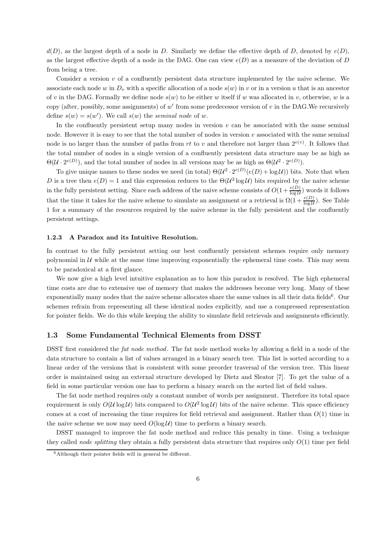$d(D)$ , as the largest depth of a node in D. Similarly we define the effective depth of D, denoted by  $e(D)$ , as the largest effective depth of a node in the DAG. One can view  $e(D)$  as a measure of the deviation of D from being a tree.

Consider a version  $v$  of a confluently persistent data structure implemented by the naive scheme. We associate each node w in  $D_v$  with a specific allocation of a node  $s(w)$  in v or in a version u that is an ancestor of v in the DAG. Formally we define node  $s(w)$  to be either w itself if w was allocated in v, otherwise, w is a copy (after, possibly, some assignments) of  $w'$  from some predecessor version of  $v$  in the DAG. We recursively define  $s(w) = s(w')$ . We call  $s(w)$  the seminal node of w.

In the confluently persistent setup many nodes in version  $v$  can be associated with the same seminal node. However it is easy to see that the total number of nodes in version  $v$  associated with the same seminal node is no larger than the number of paths from  $rt$  to  $v$  and therefore not larger than  $2^{e(v)}$ . It follows that the total number of nodes in a single version of a confluently persistent data structure may be as high as  $\Theta(\mathcal{U} \cdot 2^{e(D)})$ , and the total number of nodes in all versions may be as high as  $\Theta(\mathcal{U}^2 \cdot 2^{e(D)})$ .

To give unique names to these nodes we need (in total)  $\Theta(\mathcal{U}^2 \cdot 2^{e(D)}(e(D) + \log \mathcal{U}))$  bits. Note that when D is a tree then  $e(D) = 1$  and this expression reduces to the  $\Theta(\mathcal{U}^2 \log \mathcal{U})$  bits required by the naive scheme in the fully persistent setting. Since each address of the naive scheme consists of  $O(1+\frac{e(D)}{\log U})$  words it follows that the time it takes for the naive scheme to simulate an assignment or a retrieval is  $\Omega(1+\frac{e(D)}{\log U})$ . See Table 1 for a summary of the resources required by the naive scheme in the fully persistent and the confluently persistent settings.

#### 1.2.3 A Paradox and its Intuitive Resolution.

In contrast to the fully persistent setting our best confluently persistent schemes require only memory polynomial in  $U$  while at the same time improving exponentially the ephemeral time costs. This may seem to be paradoxical at a first glance.

We now give a high level intuitive explanation as to how this paradox is resolved. The high ephemeral time costs are due to extensive use of memory that makes the addresses become very long. Many of these exponentially many nodes that the naive scheme allocates share the same values in all their data fields<sup>6</sup>. Our schemes refrain from representing all these identical nodes explicitly, and use a compressed representation for pointer fields. We do this while keeping the ability to simulate field retrievals and assignments efficiently.

## 1.3 Some Fundamental Technical Elements from DSST

DSST first considered the *fat node method*. The fat node method works by allowing a field in a node of the data structure to contain a list of values arranged in a binary search tree. This list is sorted according to a linear order of the versions that is consistent with some preorder traversal of the version tree. This linear order is maintained using an external structure developed by Dietz and Sleator [7]. To get the value of a field in some particular version one has to perform a binary search on the sorted list of field values.

The fat node method requires only a constant number of words per assignment. Therefore its total space requirement is only  $O(U \log U)$  bits compared to  $O(U^2 \log U)$  bits of the naive scheme. This space efficiency comes at a cost of increasing the time requires for field retrieval and assignment. Rather than  $O(1)$  time in the naive scheme we now may need  $O(\log U)$  time to perform a binary search.

DSST managed to improve the fat node method and reduce this penalty in time. Using a technique they called node splitting they obtain a fully persistent data structure that requires only  $O(1)$  time per field

 $6$ Although their pointer fields will in general be different.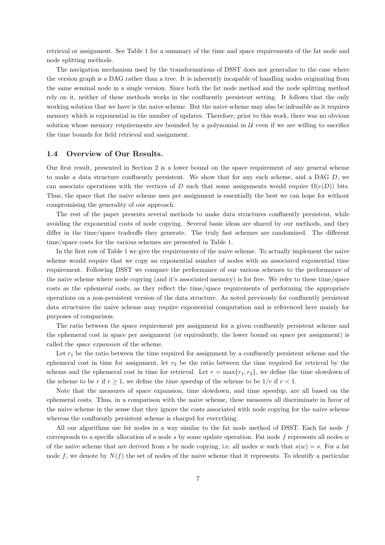retrieval or assignment. See Table 1 for a summary of the time and space requirements of the fat node and node splitting methods.

The navigation mechanism used by the transformations of DSST does not generalize to the case where the version graph is a DAG rather than a tree. It is inherently incapable of handling nodes originating from the same seminal node in a single version. Since both the fat node method and the node splitting method rely on it, neither of these methods works in the confluently persistent setting. It follows that the only working solution that we have is the naive scheme. But the naive scheme may also be infeasible as it requires memory which is exponential in the number of updates. Therefore, prior to this work, there was no obvious solution whose memory requirements are bounded by a polynomial in  $\mathcal U$  even if we are willing to sacrifice the time bounds for field retrieval and assignment.

#### 1.4 Overview of Our Results.

Our first result, presented in Section 2 is a lower bound on the space requirement of any general scheme to make a data structure confluently persistent. We show that for any such scheme, and a DAG D, we can associate operations with the vertices of D such that some assignments would require  $\Omega(e(D))$  bits. Thus, the space that the naive scheme uses per assignment is essentially the best we can hope for without compromising the generality of our approach.

The rest of the paper presents several methods to make data structures confluently persistent, while avoiding the exponential costs of node copying. Several basic ideas are shared by our methods, and they differ in the time/space tradeoffs they generate. The truly fast schemes are randomized. The different time/space costs for the various schemes are presented in Table 1.

In the first row of Table 1 we give the requirements of the naive scheme. To actually implement the naive scheme would require that we copy an exponential number of nodes with an associated exponential time requirement. Following DSST we compare the performance of our various schemes to the performance of the naive scheme where node copying (and it's associated memory) is for free. We refer to these time/space costs as the ephemeral costs, as they reflect the time/space requirements of performing the appropriate operations on a non-persistent version of the data structure. As noted previously for confluently persistent data structures the naive scheme may require exponential computation and is referenced here mainly for purposes of comparison.

The ratio between the space requirement per assignment for a given confluently persistent scheme and the ephemeral cost in space per assignment (or equivalently, the lower bound on space per assignment) is called the space expansion of the scheme.

Let  $r_1$  be the ratio between the time required for assignment by a confluently persistent scheme and the ephemeral cost in time for assignment, let  $r_2$  be the ratio between the time required for retrieval by the scheme and the ephemeral cost in time for retrieval. Let  $r = \max\{r_1, r_2\}$ , we define the time slowdown of the scheme to be r if  $r \geq 1$ , we define the time speedup of the scheme to be  $1/r$  if  $r < 1$ .

Note that the measures of space expansion, time slowdown, and time speedup, are all based on the ephemeral costs. Thus, in a comparison with the naive scheme, these measures all discriminate in favor of the naive scheme in the sense that they ignore the costs associated with node copying for the naive scheme whereas the confluently persistent scheme is charged for everything.

All our algorithms use fat nodes in a way similar to the fat node method of DSST. Each fat node  $f$ corresponds to a specific allocation of a node s by some update operation. Fat node f represents all nodes  $w$ of the naive scheme that are derived from s by node copying, i.e. all nodes w such that  $s(w) = s$ . For a fat node f, we denote by  $N(f)$  the set of nodes of the naive scheme that it represents. To identify a particular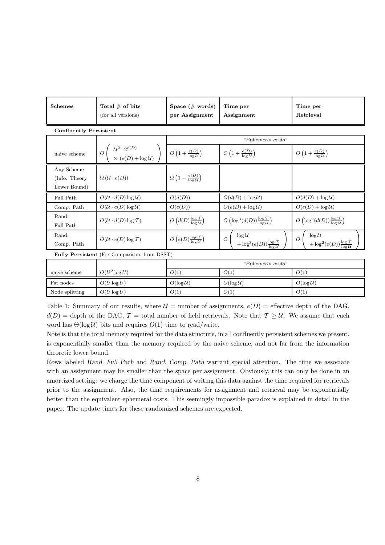| <b>Schemes</b>                               | Total $\#$ of bits<br>(for all versions)                                                                            | Space $(\# \text{ words})$<br>per Assignment   | Time per<br>Assignment                                             | Time per<br>Retrieval                                              |  |  |
|----------------------------------------------|---------------------------------------------------------------------------------------------------------------------|------------------------------------------------|--------------------------------------------------------------------|--------------------------------------------------------------------|--|--|
| <b>Confluently Persistent</b>                |                                                                                                                     |                                                |                                                                    |                                                                    |  |  |
|                                              |                                                                                                                     | "Ephemeral costs"                              |                                                                    |                                                                    |  |  |
| naive scheme                                 | $O\left(\begin{array}{l} \mathcal{U}^2\cdot 2^{e(D)}\ \times \left(e(D)+\log \mathcal{U}\right) \end{array}\right)$ | $O\left(1+\frac{e(D)}{\log\mathcal{U}}\right)$ | $O\left(1+\frac{e(D)}{\log\mathcal{U}}\right)$                     | $O\left(1+\frac{e(D)}{\log U}\right)$                              |  |  |
| Any Scheme<br>(Info. Theory                  | $\Omega(\mathcal{U}\cdot e(D))$                                                                                     | $\Omega\left(1+\frac{e(D)}{\log U}\right)$     |                                                                    |                                                                    |  |  |
| Lower Bound)                                 |                                                                                                                     |                                                |                                                                    |                                                                    |  |  |
| Full Path                                    | $O(U \cdot d(D) \log U)$                                                                                            | O(d(D))                                        | $O(d(D) + \log U)$                                                 | $O(d(D) + \log U)$                                                 |  |  |
| Comp. Path                                   | $O(U \cdot e(D) \log U)$                                                                                            | O(e(D))                                        | $O(e(D) + \log U)$                                                 | $O(e(D) + \log U)$                                                 |  |  |
| Rand.<br>Full Path                           | $O(U \cdot d(D) \log T)$                                                                                            | $O\left(d(D)\frac{\log T}{\log U}\right)$      | $O\left(\log^3(d(D))\frac{\log T}{\log U}\right)$                  | $O\left(\log^2(d(D))\frac{\log T}{\log U}\right)$                  |  |  |
| Rand.<br>Comp. Path                          | $O(U \cdot e(D) \log T)$                                                                                            | $O\left(e(D)\frac{\log T}{\log U}\right)$      | $\log U$<br>$\overline{O}$<br>$+\log^3(e(D))\frac{\log T}{\log U}$ | $\log U$<br>$\overline{O}$<br>$+\log^2(e(D))\frac{\log T}{\log U}$ |  |  |
| Fully Persistent (For Comparison, from DSST) |                                                                                                                     |                                                |                                                                    |                                                                    |  |  |
|                                              |                                                                                                                     | "Ephemeral costs"                              |                                                                    |                                                                    |  |  |
| naive scheme                                 | $O(U^2 \log U)$                                                                                                     | O(1)                                           | O(1)                                                               | O(1)                                                               |  |  |

| Table 1: Summary of our results, where $\mathcal{U} =$ number of assignments, $e(D) =$ effective depth of the DAG, |
|--------------------------------------------------------------------------------------------------------------------|
| $d(D)$ = depth of the DAG, T = total number of field retrievals. Note that $T \geq U$ . We assume that each        |
| word has $\Theta(\log \mathcal{U})$ bits and requires $O(1)$ time to read/write.                                   |

Fat nodes  $\bigg|\n\begin{array}{ccc}\nO(U \log U) \\
O(\log U)\n\end{array}\n\bigg|\n\bigg|\n\begin{array}{ccc}\nO(\log U) \\
O(\log U)\n\end{array}\n\bigg|$ Node splitting  $O(U \log U)$   $O(1)$   $O(1)$   $O(1)$   $O(1)$ 

Note is that the total memory required for the data structure, in all confluently persistent schemes we present, is exponentially smaller than the memory required by the naive scheme, and not far from the information theoretic lower bound.

Rows labeled Rand. Full Path and Rand. Comp. Path warrant special attention. The time we associate with an assignment may be smaller than the space per assignment. Obviously, this can only be done in an amortized setting: we charge the time component of writing this data against the time required for retrievals prior to the assignment. Also, the time requirements for assignment and retrieval may be exponentially better than the equivalent ephemeral costs. This seemingly impossible paradox is explained in detail in the paper. The update times for these randomized schemes are expected.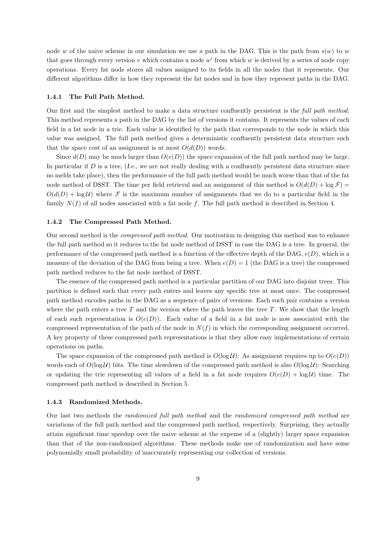node w of the naive scheme in our simulation we use a path in the DAG. This is the path from  $s(w)$  to w that goes through every version  $v$  which contains a node  $w'$  from which  $w$  is derived by a series of node copy operations. Every fat node stores all values assigned to its fields in all the nodes that it represents. Our different algorithms differ in how they represent the fat nodes and in how they represent paths in the DAG.

## 1.4.1 The Full Path Method.

Our first and the simplest method to make a data structure confluently persistent is the full path method. This method represents a path in the DAG by the list of versions it contains. It represents the values of each field in a fat node in a trie. Each value is identified by the path that corresponds to the node in which this value was assigned. The full path method gives a deterministic confluently persistent data structure such that the space cost of an assignment is at most  $O(d(D))$  words.

Since  $d(D)$  may be much larger than  $O(e(D))$  the space expansion of the full path method may be large. In particular if  $D$  is a tree,  $(I.e.,$  we are not really dealing with a confluently persistent data structure since no melds take place), then the performance of the full path method would be much worse than that of the fat node method of DSST. The time per field retrieval and an assignment of this method is  $O(d(D) + \log \mathcal{F}) =$  $O(d(D) + \log U)$  where F is the maximum number of assignments that we do to a particular field in the family  $N(f)$  of all nodes associated with a fat node f. The full path method is described in Section 4.

#### 1.4.2 The Compressed Path Method.

Our second method is the compressed path method. Our motivation in designing this method was to enhance the full path method so it reduces to the fat node method of DSST in case the DAG is a tree. In general, the performance of the compressed path method is a function of the effective depth of the DAG,  $e(D)$ , which is a measure of the deviation of the DAG from being a tree. When  $e(D) = 1$  (the DAG is a tree) the compressed path method reduces to the fat node method of DSST.

The essence of the compressed path method is a particular partition of our DAG into disjoint trees. This partition is defined such that every path enters and leaves any specific tree at most once. The compressed path method encodes paths in the DAG as a sequence of pairs of versions. Each such pair contains a version where the path enters a tree  $T$  and the version where the path leaves the tree  $T$ . We show that the length of each such representation is  $O(e(D))$ . Each value of a field in a fat node is now associated with the compressed representation of the path of the node in  $N(f)$  in which the corresponding assignment occurred. A key property of these compressed path representations is that they allow easy implementations of certain operations on paths.

The space expansion of the compressed path method is  $O(\log U)$ : As assignment requires up to  $O(e(D))$ words each of  $O(\log U)$  bits. The time slowdown of the compressed path method is also  $O(\log U)$ : Searching or updating the trie representing all values of a field in a fat node requires  $O(e(D) + \log U)$  time. The compressed path method is described in Section 5.

## 1.4.3 Randomized Methods.

Our last two methods the randomized full path method and the randomized compressed path method are variations of the full path method and the compressed path method, respectively. Surprising, they actually attain significant time speedup over the naive scheme at the expense of a (slightly) larger space expansion than that of the non-randomized algorithms. These methods make use of randomization and have some polynomially small probability of inaccurately representing our collection of versions.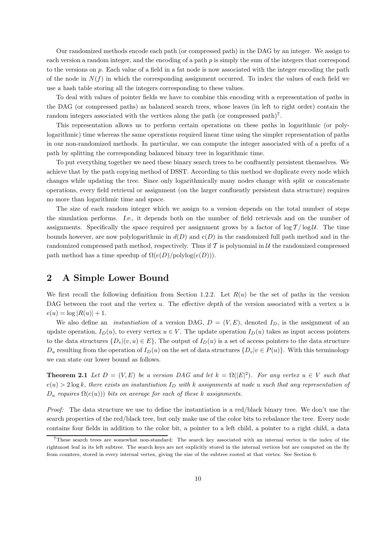Our randomized methods encode each path (or compressed path) in the DAG by an integer. We assign to each version a random integer, and the encoding of a path  $p$  is simply the sum of the integers that correspond to the versions on p. Each value of a field in a fat node is now associated with the integer encoding the path of the node in  $N(f)$  in which the corresponding assignment occurred. To index the values of each field we use a hash table storing all the integers corresponding to these values.

To deal with values of pointer fields we have to combine this encoding with a representation of paths in the DAG (or compressed paths) as balanced search trees, whose leaves (in left to right order) contain the random integers associated with the vertices along the path (or compressed path)<sup>7</sup>.

This representation allows us to perform certain operations on these paths in logarithmic (or polylogarithmic) time whereas the same operations required linear time using the simpler representation of paths in our non-randomized methods. In particular, we can compute the integer associated with of a prefix of a path by splitting the corresponding balanced binary tree in logarithmic time.

To put everything together we need these binary search trees to be confluently persistent themselves. We achieve that by the path copying method of DSST. According to this method we duplicate every node which changes while updating the tree. Since only logarithmically many nodes change with split or concatenate operations, every field retrieval or assignment (on the larger confluently persistent data structure) requires no more than logarithmic time and space.

The size of each random integer which we assign to a version depends on the total number of steps the simulation performs. I.e., it depends both on the number of field retrievals and on the number of assignments. Specifically the space required per assignment grows by a factor of  $\log T / \log U$ . The time bounds however, are now polylogarithmic in  $d(D)$  and  $e(D)$  in the randomized full path method and in the randomized compressed path method, respectively. Thus if  $\mathcal T$  is polynomial in  $\mathcal U$  the randomized compressed path method has a time speedup of  $\Omega(e(D)/\text{polylog}(e(D))).$ 

# 2 A Simple Lower Bound

We first recall the following definition from Section 1.2.2. Let  $R(u)$  be the set of paths in the version DAG between the root and the vertex  $u$ . The effective depth of the version associated with a vertex  $u$  is  $e(u) = \log |R(u)| + 1.$ 

We also define an *instantiation* of a version DAG,  $D = (V, E)$ , denoted  $I_D$ , is the assignment of an update operation,  $I_D(u)$ , to every vertex  $u \in V$ . The update operation  $I_D(u)$  takes as input access pointers to the data structures  $\{D_v|(v, u) \in E\}$ , The output of  $I_D(u)$  is a set of access pointers to the data structure  $D_u$  resulting from the operation of  $I_D(u)$  on the set of data structures  $\{D_v|v \in P(u)\}\$ . With this terminology we can state our lower bound as follows.

**Theorem 2.1** Let  $D = (V, E)$  be a version DAG and let  $k = \Omega(|E|^2)$ . For any vertex  $u \in V$  such that  $e(u) > 2 \log k$ , there exists an instantiation  $I_D$  with k assignments at node u such that any representation of  $D_u$  requires  $\Omega(e(u))$ ) bits on average for each of these k assignments.

Proof: The data structure we use to define the instantiation is a red/black binary tree. We don't use the search properties of the red/black tree, but only make use of the color bits to rebalance the tree. Every node contains four fields in addition to the color bit, a pointer to a left child, a pointer to a right child, a data

<sup>7</sup>These search trees are somewhat non-standard: The search key associated with an internal vertex is the index of the rightmost leaf in its left subtree. The search keys are not explicitly stored in the internal vertices but are computed on the fly from counters, stored in every internal vertex, giving the size of the subtree rooted at that vertex. See Section 6.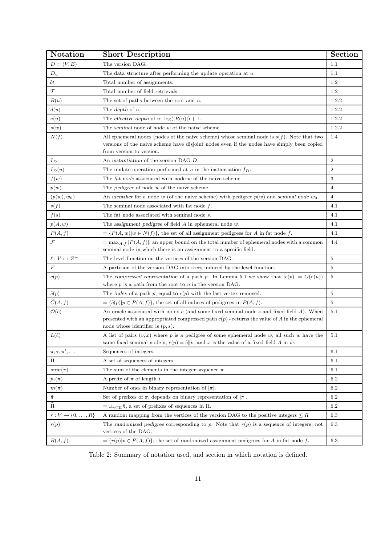| <b>Notation</b>                 | <b>Short Description</b>                                                                                                                                                                                                                      | Section        |
|---------------------------------|-----------------------------------------------------------------------------------------------------------------------------------------------------------------------------------------------------------------------------------------------|----------------|
| $D=(V,E)$                       | The version DAG.                                                                                                                                                                                                                              | 1.1            |
| $D_u$                           | The data structure after performing the update operation at $u$ .                                                                                                                                                                             |                |
| $\mathcal{U}$                   | Total number of assignments.                                                                                                                                                                                                                  |                |
| $\tau$                          | Total number of field retrievals.                                                                                                                                                                                                             |                |
| R(u)                            | The set of paths between the root and $u$ .                                                                                                                                                                                                   |                |
| d(u)                            | The depth of $u$ .                                                                                                                                                                                                                            |                |
| e(u)                            | The effective depth of u: $\log( R(u) ) + 1$ .                                                                                                                                                                                                |                |
| s(w)                            | The seminal node of node $w$ of the naive scheme.                                                                                                                                                                                             |                |
| N(f)                            | All ephemeral nodes (nodes of the naive scheme) whose seminal node is $s(f)$ . Note that two<br>versions of the naive scheme have disjoint nodes even if the nodes have simply been copied<br>from version to version.                        |                |
| $I_D$                           | An instantiation of the version DAG D.                                                                                                                                                                                                        | $\overline{2}$ |
| $I_D(u)$                        | The update operation performed at $u$ in the instantiation $I_D$ .                                                                                                                                                                            |                |
| f(w)                            | The fat node associated with node $w$ of the naive scheme.                                                                                                                                                                                    | 3              |
| p(w)                            | The pedigree of node $w$ of the naive scheme.                                                                                                                                                                                                 | $\overline{4}$ |
| $(p(w), w_0)$                   | An identifier for a node w (of the naive scheme) with pedigree $p(w)$ and seminal node $w_0$ .                                                                                                                                                | $\overline{4}$ |
| s(f)                            | The seminal node associated with fat node $f$ .                                                                                                                                                                                               | 4.1            |
| f(s)                            | The fat node associated with seminal node s.                                                                                                                                                                                                  |                |
| p(A, w)                         | The assignment pedigree of field $A$ in ephemeral node $w$ .                                                                                                                                                                                  |                |
| P(A, f)                         | $=\{P(A, w) w \in N(f)\}\$ , the set of all assignment pedigrees for A in fat node f.                                                                                                                                                         |                |
| $\mathcal F$                    | $=\max_{A,f} P(A,f) $ , an upper bound on the total number of ephemeral nodes with a common<br>seminal node in which there is an assignment to a specific field.                                                                              | 4.4            |
| $\ell:V\mapsto Z^+$             | The level function on the vertices of the version DAG.                                                                                                                                                                                        | $\overline{5}$ |
| $\cal F$                        | A partition of the version DAG into trees induced by the level function.                                                                                                                                                                      | $\overline{5}$ |
| c(p)                            | The compressed representation of a path p. In Lemma 5.1 we show that $ c(p)  = O(e(u))$<br>where $p$ is a path from the root to $u$ in the version DAG.                                                                                       | $\overline{5}$ |
| $\tilde{c}(p)$                  | The index of a path p, equal to $c(p)$ with the last vertex removed.                                                                                                                                                                          | $\overline{5}$ |
| $\widetilde{C}(A,f)$            | $=\{\tilde{c}(p) p\in P(A,f)\},\$ the set of all indices of pedigrees in $P(A,f)$ .                                                                                                                                                           | 5              |
| $\mathcal{O}(\tilde{c})$        | An oracle associated with index $\tilde{c}$ (and some fixed seminal node s and fixed field A). When<br>presented with an appropriated compressed path $c(p)$ - returns the value of A in the ephemeral<br>node whose identifier is $(p, s)$ . |                |
| $L(\tilde{c})$                  | A list of pairs $(v, x)$ where p is a pedigree of some ephemeral node w, all such w have the<br>same fixed seminal node s, $c(p) = \tilde{c}    v$ , and x is the value of a fixed field A in w.                                              | 5.1            |
| $\pi, \tau, \pi', \ldots$       | Sequences of integers.                                                                                                                                                                                                                        | 6.1            |
| П                               | A set of sequences of integers                                                                                                                                                                                                                | 6.1            |
| $sum(\pi)$                      | The sum of the elements in the integer sequence $\pi$                                                                                                                                                                                         | 6.1            |
| $p_i(\pi)$                      | A prefix of $\pi$ of length $i.$                                                                                                                                                                                                              | 6.2            |
| $m(\pi)$                        | Number of ones in binary representation of $ \pi $ .                                                                                                                                                                                          | 6.2            |
| $\hat{\pi}$                     | Set of prefixes of $\pi$ , depends on binary representation of $ \pi $ .                                                                                                                                                                      |                |
| $\hat{\Pi}$                     | $=\bigcup_{\pi\in\Pi}\hat{\pi}$ , a set of prefixes of sequences in $\Pi$ .                                                                                                                                                                   |                |
| $r: V \mapsto \{0, \ldots, R\}$ | A random mapping from the vertices of the version DAG to the positive integers $\leq R$                                                                                                                                                       | 6.3            |
| r(p)                            | The randomized pedigree corresponding to p. Note that $r(p)$ is a sequence of integers, not<br>vertices of the DAG.                                                                                                                           | 6.3            |
| R(A, f)                         | $=\{r(p) p\in P(A,f)\},\$ the set of randomized assignment pedigrees for A in fat node f.                                                                                                                                                     | 6.3            |

Table 2: Summary of notation used, and section in which notation is defined.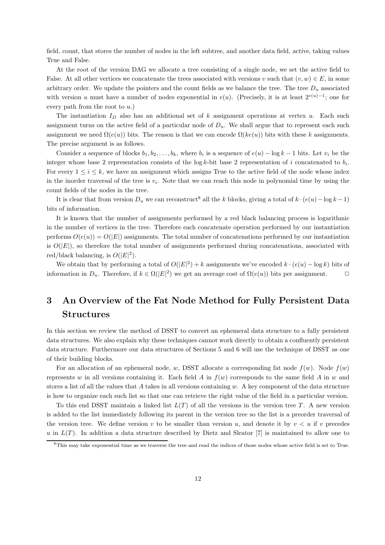field, count, that stores the number of nodes in the left subtree, and another data field, active, taking values True and False.

At the root of the version DAG we allocate a tree consisting of a single node, we set the active field to False. At all other vertices we concatenate the trees associated with versions v such that  $(v, w) \in E$ , in some arbitrary order. We update the pointers and the count fields as we balance the tree. The tree  $D_u$  associated with version u must have a number of nodes exponential in  $e(u)$ . (Precisely, it is at least  $2^{e(u)-1}$ ; one for every path from the root to  $u$ .)

The instantiation  $I_D$  also has an additional set of k assignment operations at vertex u. Each such assignment turns on the active field of a particular node of  $D_u$ . We shall argue that to represent each such assignment we need  $\Omega(e(u))$  bits. The reason is that we can encode  $\Omega(ke(u))$  bits with these k assignments. The precise argument is as follows.

Consider a sequence of blocks  $b_1, b_2, \ldots, b_k$ , where  $b_i$  is a sequence of  $e(u) - \log k - 1$  bits. Let  $v_i$  be the integer whose base 2 representation consists of the  $\log k$ -bit base 2 representation of i concatenated to  $b_i$ . For every  $1 \leq i \leq k$ , we have an assignment which assigns True to the active field of the node whose index in the inorder traversal of the tree is  $v_i$ . Note that we can reach this node in polynomial time by using the count fields of the nodes in the tree.

It is clear that from version  $D_u$  we can reconstruct<sup>8</sup> all the k blocks, giving a total of  $k \cdot (e(u) - \log k - 1)$ bits of information.

It is known that the number of assignments performed by a red black balancing process is logarithmic in the number of vertices in the tree. Therefore each concatenate operation performed by our instantiation performs  $O(e(u)) = O(|E|)$  assignments. The total number of concatenations performed by our instantiation is  $O(|E|)$ , so therefore the total number of assignments performed during concatenations, associated with red/black balancing, is  $O(|E|^2)$ .

We obtain that by performing a total of  $O(|E|^2) + k$  assignments we've encoded  $k \cdot (e(u) - \log k)$  bits of information in  $D_u$ . Therefore, if  $k \in \Omega(|E|^2)$  we get an average cost of  $\Omega(e(u))$  bits per assignment.  $\Box$ 

# 3 An Overview of the Fat Node Method for Fully Persistent Data Structures

In this section we review the method of DSST to convert an ephemeral data structure to a fully persistent data structures. We also explain why these techniques cannot work directly to obtain a confluently persistent data structure. Furthermore our data structures of Sections 5 and 6 will use the technique of DSST as one of their building blocks.

For an allocation of an ephemeral node, w, DSST allocate a corresponding fat node  $f(w)$ . Node  $f(w)$ represents w in all versions containing it. Each field A in  $f(w)$  corresponds to the same field A in w and stores a list of all the values that A takes in all versions containing w. A key component of the data structure is how to organize each such list so that one can retrieve the right value of the field in a particular version.

To this end DSST maintain a linked list  $L(T)$  of all the versions in the version tree T. A new version is added to the list immediately following its parent in the version tree so the list is a preorder traversal of the version tree. We define version v to be smaller than version u, and denote it by  $v < u$  if v precedes u in  $L(T)$ . In addition a data structure described by Dietz and Sleator [7] is maintained to allow one to

<sup>8</sup>This may take exponential time as we traverse the tree and read the indices of those nodes whose active field is set to True.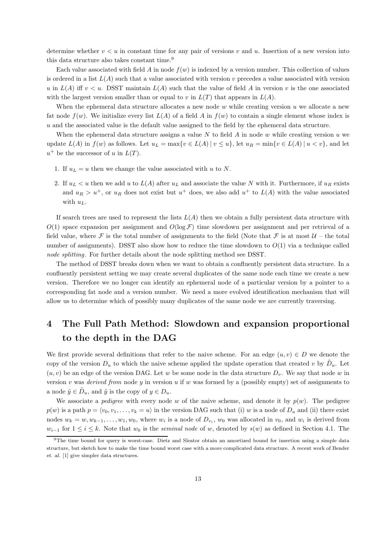determine whether  $v < u$  in constant time for any pair of versions v and u. Insertion of a new version into this data structure also takes constant time.<sup>9</sup>

Each value associated with field A in node  $f(w)$  is indexed by a version number. This collection of values is ordered in a list  $L(A)$  such that a value associated with version v precedes a value associated with version u in  $L(A)$  iff  $v < u$ . DSST maintain  $L(A)$  such that the value of field A in version v is the one associated with the largest version smaller than or equal to v in  $L(T)$  that appears in  $L(A)$ .

When the ephemeral data structure allocates a new node  $w$  while creating version  $u$  we allocate a new fat node  $f(w)$ . We initialize every list  $L(A)$  of a field A in  $f(w)$  to contain a single element whose index is u and the associated value is the default value assigned to the field by the ephemeral data structure.

When the ephemeral data structure assigns a value  $N$  to field  $A$  in node  $w$  while creating version  $u$  we update  $L(A)$  in  $f(w)$  as follows. Let  $u_L = \max\{v \in L(A) \mid v \leq u\}$ , let  $u_R = \min\{v \in L(A) \mid u < v\}$ , and let  $u^+$  be the successor of u in  $L(T)$ .

- 1. If  $u_L = u$  then we change the value associated with u to N.
- 2. If  $u_L < u$  then we add u to  $L(A)$  after  $u_L$  and associate the value N with it. Furthermore, if  $u_R$  exists and  $u_R > u^+$ , or  $u_R$  does not exist but  $u^+$  does, we also add  $u^+$  to  $L(A)$  with the value associated with  $u_L$ .

If search trees are used to represent the lists  $L(A)$  then we obtain a fully persistent data structure with  $O(1)$  space expansion per assignment and  $O(\log \mathcal{F})$  time slowdown per assignment and per retrieval of a field value, where F is the total number of assignments to the field (Note that F is at most  $\mathcal{U}$  – the total number of assignments). DSST also show how to reduce the time slowdown to  $O(1)$  via a technique called node splitting. For further details about the node splitting method see DSST.

The method of DSST breaks down when we want to obtain a confluently persistent data structure. In a confluently persistent setting we may create several duplicates of the same node each time we create a new version. Therefore we no longer can identify an ephemeral node of a particular version by a pointer to a corresponding fat node and a version number. We need a more evolved identification mechanism that will allow us to determine which of possibly many duplicates of the same node we are currently traversing.

# 4 The Full Path Method: Slowdown and expansion proportional to the depth in the DAG

We first provide several definitions that refer to the naive scheme. For an edge  $(u, v) \in D$  we denote the copy of the version  $D_u$  to which the naive scheme applied the update operation that created v by  $\tilde{D}_u$ . Let  $(u, v)$  be an edge of the version DAG. Let w be some node in the data structure  $D_v$ . We say that node w in version v was derived from node y in version u if w was formed by a (possibly empty) set of assignments to a node  $\tilde{y} \in \tilde{D}_u$ , and  $\tilde{y}$  is the copy of  $y \in D_u$ .

We associate a *pedigree* with every node w of the naive scheme, and denote it by  $p(w)$ . The pedigree  $p(w)$  is a path  $p = \langle v_0, v_1, \ldots, v_k = u \rangle$  in the version DAG such that (i) w is a node of  $D_u$  and (ii) there exist nodes  $w_k = w, w_{k-1}, \ldots, w_1, w_0$ , where  $w_i$  is a node of  $D_{v_i}$ ,  $w_0$  was allocated in  $v_0$ , and  $w_i$  is derived from  $w_{i-1}$  for  $1 \leq i \leq k$ . Note that  $w_0$  is the seminal node of w, denoted by  $s(w)$  as defined in Section 4.1. The

<sup>9</sup>The time bound for query is worst-case. Dietz and Sleator obtain an amortized bound for insertion using a simple data structure, but sketch how to make the time bound worst case with a more complicated data structure. A recent work of Bender et. al. [1] give simpler data structures.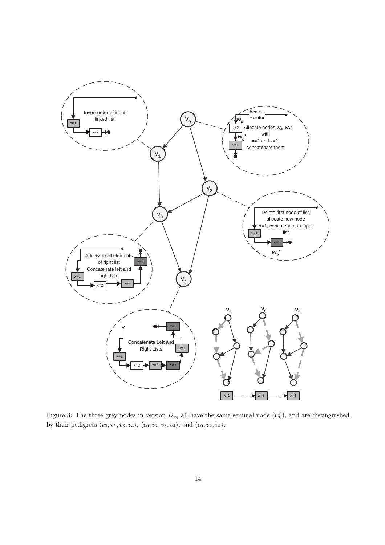

Figure 3: The three grey nodes in version  $D_{v_4}$  all have the same seminal node  $(w'_0)$ , and are distinguished by their pedigrees  $\langle v_0, v_1, v_3, v_4 \rangle$ ,  $\langle v_0, v_2, v_3, v_4 \rangle$ , and  $\langle v_0, v_2, v_4 \rangle$ .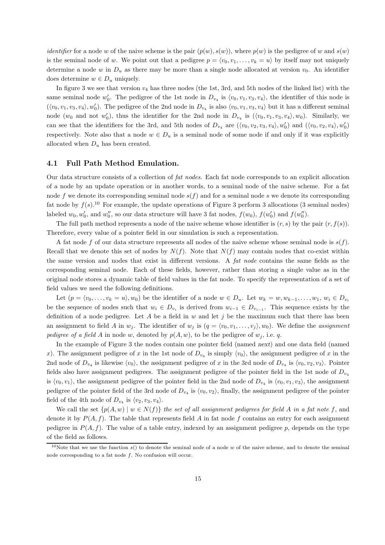*identifier* for a node w of the naive scheme is the pair  $(p(w), s(w))$ , where  $p(w)$  is the pedigree of w and  $s(w)$ is the seminal node of w. We point out that a pedigree  $p = \langle v_0, v_1, \ldots, v_k = u \rangle$  by itself may not uniquely determine a node w in  $D_u$  as there may be more than a single node allocated at version  $v_0$ . An identifier does determine  $w \in D_u$  uniquely.

In figure 3 we see that version  $v_4$  has three nodes (the 1st, 3rd, and 5th nodes of the linked list) with the same seminal node  $w'_0$ . The pedigree of the 1st node in  $D_{v_4}$  is  $\langle v_0, v_1, v_3, v_4 \rangle$ , the identifier of this node is  $(\langle v_0, v_1, v_3, v_4 \rangle, w'_0)$ . The pedigree of the 2nd node in  $D_{v_4}$  is also  $\langle v_0, v_1, v_3, v_4 \rangle$  but it has a different seminal node  $(w_0 \text{ and not } w'_0)$ , thus the identifier for the 2nd node in  $D_{v_4}$  is  $(\langle v_0, v_1, v_3, v_4 \rangle, w_0)$ . Similarly, we can see that the identifiers for the 3rd, and 5th nodes of  $D_{v_4}$  are  $(\langle v_0, v_2, v_3, v_4 \rangle, w'_0)$  and  $(\langle v_0, v_2, v_4 \rangle, w'_0)$ respectively. Note also that a node  $w \in D_u$  is a seminal node of some node if and only if it was explicitly allocated when  $D_u$  has been created.

## 4.1 Full Path Method Emulation.

Our data structure consists of a collection of fat nodes. Each fat node corresponds to an explicit allocation of a node by an update operation or in another words, to a seminal node of the naive scheme. For a fat node f we denote its corresponding seminal node  $s(f)$  and for a seminal node s we denote its corresponding fat node by  $f(s)$ .<sup>10</sup> For example, the update operations of Figure 3 perform 3 allocations (3 seminal nodes) labeled  $w_0, w'_0$ , and  $w''_0$ , so our data structure will have 3 fat nodes,  $f(w_0)$ ,  $f(w'_0)$  and  $f(w''_0)$ .

The full path method represents a node of the naive scheme whose identifier is  $(r, s)$  by the pair  $(r, f(s))$ . Therefore, every value of a pointer field in our simulation is such a representation.

A fat node f of our data structure represents all nodes of the naive scheme whose seminal node is  $s(f)$ . Recall that we denote this set of nodes by  $N(f)$ . Note that  $N(f)$  may contain nodes that co-exist within the same version and nodes that exist in different versions. A fat node contains the same fields as the corresponding seminal node. Each of these fields, however, rather than storing a single value as in the original node stores a dynamic table of field values in the fat node. To specify the representation of a set of field values we need the following definitions.

Let  $(p = \langle v_0, \ldots, v_k = u \rangle, w_0)$  be the identifier of a node  $w \in D_u$ . Let  $w_k = w, w_{k-1}, \ldots, w_1, w_i \in D_v$ be the sequence of nodes such that  $w_i \in D_{v_i}$  is derived from  $w_{i-1} \in D_{v_{i-1}}$ . This sequence exists by the definition of a node pedigree. Let A be a field in  $w$  and let  $j$  be the maximum such that there has been an assignment to field A in  $w_i$ . The identifier of  $w_j$  is  $(q = \langle v_0, v_1, \ldots, v_j \rangle, w_0)$ . We define the assignment pedigree of a field A in node w, denoted by  $p(A, w)$ , to be the pedigree of  $w_j$ , i.e. q.

In the example of Figure 3 the nodes contain one pointer field (named next) and one data field (named x). The assignment pedigree of x in the 1st node of  $D_{v_4}$  is simply  $\langle v_0 \rangle$ , the assignment pedigree of x in the 2nd node of  $D_{v_4}$  is likewise  $\langle v_0 \rangle$ , the assignment pedigree of x in the 3rd node of  $D_{v_4}$  is  $\langle v_0, v_2, v_3 \rangle$ . Pointer fields also have assignment pedigrees. The assignment pedigree of the pointer field in the 1st node of  $D_{u}$ is  $\langle v_0, v_1 \rangle$ , the assignment pedigree of the pointer field in the 2nd node of  $D_{v_4}$  is  $\langle v_0, v_1, v_3 \rangle$ , the assignment pedigree of the pointer field of the 3rd node of  $D_{v_4}$  is  $\langle v_0, v_2 \rangle$ , finally, the assignment pedigree of the pointer field of the 4th node of  $D_{v_4}$  is  $\langle v_2, v_3, v_4 \rangle$ .

We call the set  $\{p(A, w) \mid w \in N(f)\}\$  the set of all assignment pedigrees for field A in a fat note f, and denote it by  $P(A, f)$ . The table that represents field A in fat node f contains an entry for each assignment pedigree in  $P(A, f)$ . The value of a table entry, indexed by an assignment pedigree p, depends on the type of the field as follows.

<sup>&</sup>lt;sup>10</sup>Note that we use the function  $s()$  to denote the seminal node of a node w of the naive scheme, and to denote the seminal node corresponding to a fat node f. No confusion will occur.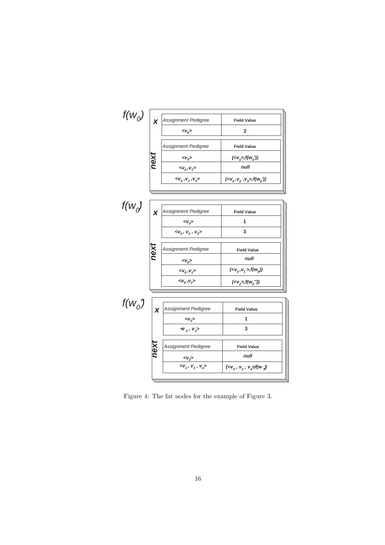| $f(w_0)$   | $\boldsymbol{x}$ | Assignment Pedigree     | <b>Field Value</b>                         |
|------------|------------------|-------------------------|--------------------------------------------|
|            |                  | < v <sub>0</sub>        | $\overline{2}$                             |
|            |                  | Assignment Pedigree     | <b>Field Value</b>                         |
|            | next             | $\frac{}{\sim}$         | ( <v<sub>o&gt;, f(w<sub>o</sub>'))</v<sub> |
|            |                  | $< v_0, v_1 >$          | null                                       |
|            |                  | $< v_0^-, v_1^-, v_3^>$ | $( f(w_0'))$                               |
|            |                  |                         |                                            |
| $f(w_o')$  | $\mathbf{x}$     | Assignment Pedigree     | <b>Field Value</b>                         |
|            |                  | $< v_0$                 | 1                                          |
|            |                  | $< v_0, v_2, v_3$       | 3                                          |
|            | next             | Assignment Pedigree     | <b>Field Value</b>                         |
|            |                  | $< v_0 >$               | null                                       |
|            |                  | $< v_0, v_1 >$          | $(, f(w_0))$                               |
|            |                  | $< v_0, v_2>$           | ( <v<sub>2&gt;,f(w<sub>0</sub>"))</v<sub>  |
|            |                  |                         |                                            |
| $f(w_0'')$ | $\boldsymbol{x}$ | Assignment Pedigree     | <b>Field Value</b>                         |
|            |                  | < v <sub>2</sub>        | 1                                          |
|            |                  | $< v_2, v_3$            | 3                                          |
|            |                  | Assignment Pedigree     | <b>Field Value</b>                         |
|            |                  |                         |                                            |
|            | nex              | $\frac{}{}$             | null                                       |

Figure 4: The fat nodes for the example of Figure 3.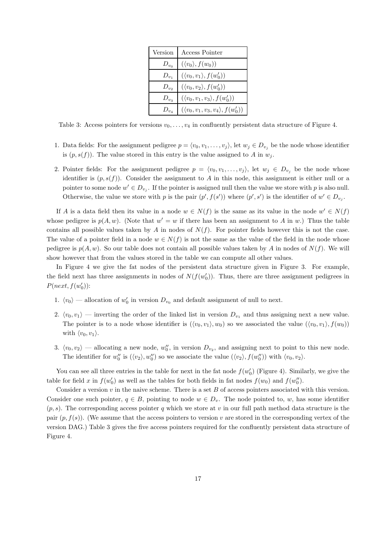| Version   | Access Pointer                                  |
|-----------|-------------------------------------------------|
| $D_{v_0}$ | $(\langle v_0 \rangle, f(w_0))$                 |
| $D_{v_1}$ | $(\langle v_0, v_1 \rangle, f(w'_0))$           |
| $D_{v_2}$ | $(\langle v_0, v_2 \rangle, f(w'_0))$           |
| $D_{v_3}$ | $(\langle v_0, v_1, v_3 \rangle, f(w'_0))$      |
| $D_{v_A}$ | $(\langle v_0, v_1, v_3, v_4 \rangle, f(w'_0))$ |

Table 3: Access pointers for versions  $v_0, \ldots, v_4$  in confluently persistent data structure of Figure 4.

- 1. Data fields: For the assignment pedigree  $p = \langle v_0, v_1, \ldots, v_j \rangle$ , let  $w_j \in D_{v_j}$  be the node whose identifier is  $(p, s(f))$ . The value stored in this entry is the value assigned to A in  $w_i$ .
- 2. Pointer fields: For the assignment pedigree  $p = \langle v_0, v_1, \ldots, v_j \rangle$ , let  $w_j \in D_{v_j}$  be the node whose identifier is  $(p, s(f))$ . Consider the assignment to A in this node, this assignment is either null or a pointer to some node  $w' \in D_{v_j}$ . If the pointer is assigned null then the value we store with p is also null. Otherwise, the value we store with p is the pair  $(p', f(s'))$  where  $(p', s')$  is the identifier of  $w' \in D_{v_j}$ .

If A is a data field then its value in a node  $w \in N(f)$  is the same as its value in the node  $w' \in N(f)$ whose pedigree is  $p(A, w)$ . (Note that  $w' = w$  if there has been an assignment to A in w.) Thus the table contains all possible values taken by A in nodes of  $N(f)$ . For pointer fields however this is not the case. The value of a pointer field in a node  $w \in N(f)$  is not the same as the value of the field in the node whose pedigree is  $p(A, w)$ . So our table does not contain all possible values taken by A in nodes of  $N(f)$ . We will show however that from the values stored in the table we can compute all other values.

In Figure 4 we give the fat nodes of the persistent data structure given in Figure 3. For example, the field next has three assignments in nodes of  $N(f(w_0'))$ . Thus, there are three assignment pedigrees in  $P(next, f(w_0'))$ :

- 1.  $\langle v_0 \rangle$  allocation of  $w'_0$  in version  $D_{v_0}$  and default assignment of null to next.
- 2.  $\langle v_0, v_1 \rangle$  inverting the order of the linked list in version  $D_{v_1}$  and thus assigning next a new value. The pointer is to a node whose identifier is  $(\langle v_0, v_1 \rangle, w_0)$  so we associated the value  $(\langle v_0, v_1 \rangle, f(w_0))$ with  $\langle v_0, v_1 \rangle$ .
- 3.  $\langle v_0, v_2 \rangle$  allocating a new node,  $w''_0$ , in version  $D_{v_2}$ , and assigning next to point to this new node. The identifier for  $w''_0$  is  $(\langle v_2 \rangle, w''_0)$  so we associate the value  $(\langle v_2 \rangle, f(w''_0))$  with  $\langle v_0, v_2 \rangle$ .

You can see all three entries in the table for next in the fat node  $f(w_0')$  (Figure 4). Similarly, we give the table for field x in  $f(w_0')$  as well as the tables for both fields in fat nodes  $f(w_0)$  and  $f(w_0'')$ .

Consider a version  $v$  in the naive scheme. There is a set  $B$  of access pointers associated with this version. Consider one such pointer,  $q \in B$ , pointing to node  $w \in D_v$ . The node pointed to, w, has some identifier  $(p, s)$ . The corresponding access pointer q which we store at v in our full path method data structure is the pair  $(p, f(s))$ . (We assume that the access pointers to version v are stored in the corresponding vertex of the version DAG.) Table 3 gives the five access pointers required for the confluently persistent data structure of Figure 4.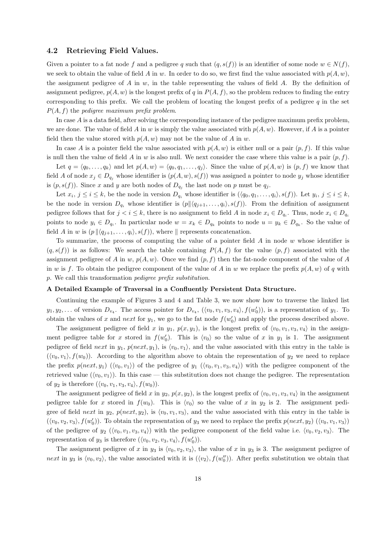## 4.2 Retrieving Field Values.

Given a pointer to a fat node f and a pedigree q such that  $(q, s(f))$  is an identifier of some node  $w \in N(f)$ , we seek to obtain the value of field A in w. In order to do so, we first find the value associated with  $p(A, w)$ , the assignment pedigree of A in  $w$ , in the table representing the values of field A. By the definition of assignment pedigree,  $p(A, w)$  is the longest prefix of q in  $P(A, f)$ , so the problem reduces to finding the entry corresponding to this prefix. We call the problem of locating the longest prefix of a pedigree  $q$  in the set  $P(A, f)$  the pedigree maximum prefix problem.

In case A is a data field, after solving the corresponding instance of the pedigree maximum prefix problem, we are done. The value of field A in w is simply the value associated with  $p(A, w)$ . However, if A is a pointer field then the value stored with  $p(A, w)$  may not be the value of A in w.

In case A is a pointer field the value associated with  $p(A, w)$  is either null or a pair  $(p, f)$ . If this value is null then the value of field A in w is also null. We next consider the case where this value is a pair  $(p, f)$ .

Let  $q = \langle q_0, \ldots, q_k \rangle$  and let  $p(A, w) = \langle q_0, q_1, \ldots, q_j \rangle$ . Since the value of  $p(A, w)$  is  $(p, f)$  we know that field A of node  $x_j \in D_{q_j}$  whose identifier is  $(p(A, w), s(f))$  was assigned a pointer to node  $y_j$  whose identifier is  $(p, s(f))$ . Since x and y are both nodes of  $D_{q_j}$  the last node on p must be  $q_j$ .

Let  $x_i, j \leq i \leq k$ , be the node in version  $D_{q_i}$  whose identifier is  $(\langle q_0, q_1, \ldots, q_i \rangle, s(f))$ . Let  $y_i, j \leq i \leq k$ , be the node in version  $D_{q_i}$  whose identifier is  $(p||\langle q_{j+1}, \ldots, q_i \rangle, s(f))$ . From the definition of assignment pedigree follows that for  $j < i \leq k$ , there is no assignment to field A in node  $x_i \in D_{q_i}$ . Thus, node  $x_i \in D_{q_i}$ points to node  $y_i \in D_{q_i}$ . In particular node  $w = x_k \in D_{q_k}$  points to node  $u = y_k \in D_{q_k}$ . So the value of field A in w is  $(p \|\langle q_{j+1}, \ldots, q_i \rangle, s(f))$ , where  $\|$  represents concatenation.

To summarize, the process of computing the value of a pointer field  $A$  in node  $w$  whose identifier is  $(q, s(f))$  is as follows: We search the table containing  $P(A, f)$  for the value  $(p, f)$  associated with the assignment pedigree of A in w,  $p(A, w)$ . Once we find  $(p, f)$  then the fat-node component of the value of A in w is f. To obtain the pedigree component of the value of A in w we replace the prefix  $p(A, w)$  of q with p. We call this transformation pedigree prefix substitution.

#### A Detailed Example of Traversal in a Confluently Persistent Data Structure.

Continuing the example of Figures 3 and 4 and Table 3, we now show how to traverse the linked list  $y_1, y_2, \ldots$  of version  $D_{v_4}$ . The access pointer for  $D_{v_4}$ ,  $(\langle v_0, v_1, v_3, v_4 \rangle, f(w'_0))$ , is a representation of  $y_1$ . To obtain the values of x and next for  $y_1$ , we go to the fat node  $f(w'_0)$  and apply the process described above.

The assignment pedigree of field x in  $y_1$ ,  $p(x, y_1)$ , is the longest prefix of  $\langle v_0, v_1, v_3, v_4 \rangle$  in the assignment pedigree table for x stored in  $f(w_0')$ . This is  $\langle v_0 \rangle$  so the value of x in  $y_1$  is 1. The assignment pedigree of field next in  $y_1$ ,  $p(next, y_1)$ , is  $\langle v_0, v_1 \rangle$ , and the value associated with this entry in the table is  $(\langle v_0, v_1 \rangle, f(w_0))$ . According to the algorithm above to obtain the representation of  $y_2$  we need to replace the prefix  $p(next, y_1)$   $(\langle v_0, v_1 \rangle)$  of the pedigree of  $y_1$   $(\langle v_0, v_1, v_3, v_4 \rangle)$  with the pedigree component of the retrieved value  $(\langle v_0, v_1 \rangle)$ . In this case — this substitution does not change the pedigree. The representation of  $y_2$  is therefore  $(\langle v_0, v_1, v_3, v_4 \rangle, f(w_0)).$ 

The assignment pedigree of field x in  $y_2$ ,  $p(x, y_2)$ , is the longest prefix of  $\langle v_0, v_1, v_3, v_4 \rangle$  in the assignment pedigree table for x stored in  $f(w_0)$ . This is  $\langle v_0 \rangle$  so the value of x in  $y_2$  is 2. The assignment pedigree of field next in  $y_2$ ,  $p(next, y_2)$ , is  $\langle v_0, v_1, v_3 \rangle$ , and the value associated with this entry in the table is  $(\langle v_0, v_2, v_3 \rangle, f(w_0'))$ . To obtain the representation of  $y_3$  we need to replace the prefix  $p(next, y_2)$   $(\langle v_0, v_1, v_3 \rangle)$ of the pedigree of  $y_2$   $(\langle v_0, v_1, v_3, v_4 \rangle)$  with the pedigree component of the field value i.e.  $\langle v_0, v_2, v_3 \rangle$ . The representation of  $y_3$  is therefore  $(\langle v_0, v_2, v_3, v_4 \rangle, f(w'_0)).$ 

The assignment pedigree of x in  $y_3$  is  $\langle v_0, v_2, v_3 \rangle$ , the value of x in  $y_3$  is 3. The assignment pedigree of next in  $y_3$  is  $\langle v_0, v_2 \rangle$ , the value associated with it is  $(\langle v_2 \rangle, f(w_0''))$ . After prefix substitution we obtain that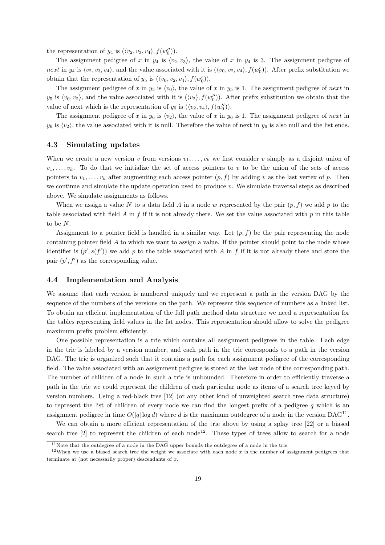the representation of  $y_4$  is  $(\langle v_2, v_3, v_4 \rangle, f(w_0''))$ .

The assignment pedigree of x in  $y_4$  is  $\langle v_2, v_3 \rangle$ , the value of x in  $y_4$  is 3. The assignment pedigree of next in  $y_4$  is  $\langle v_2, v_3, v_4 \rangle$ , and the value associated with it is  $(\langle v_0, v_2, v_4 \rangle, f(w'_0))$ . After prefix substitution we obtain that the representation of  $y_5$  is  $(\langle v_0, v_2, v_4 \rangle, f(w'_0)).$ 

The assignment pedigree of x in  $y_5$  is  $\langle v_0 \rangle$ , the value of x in  $y_5$  is 1. The assignment pedigree of next in  $y_5$  is  $\langle v_0, v_2 \rangle$ , and the value associated with it is  $(\langle v_2 \rangle, f(w_0''))$ . After prefix substitution we obtain that the value of next which is the representation of  $y_6$  is  $(\langle v_2, v_4 \rangle, f(w_0''))$ .

The assignment pedigree of x in  $y_6$  is  $\langle v_2 \rangle$ , the value of x in  $y_6$  is 1. The assignment pedigree of next in  $y_6$  is  $\langle v_2 \rangle$ , the value associated with it is null. Therefore the value of next in  $y_6$  is also null and the list ends.

## 4.3 Simulating updates

When we create a new version v from versions  $v_1, \ldots, v_k$  we first consider v simply as a disjoint union of  $v_1, \ldots, v_k$ . To do that we initialize the set of access pointers to v to be the union of the sets of access pointers to  $v_1, \ldots, v_k$  after augmenting each access pointer  $(p, f)$  by adding v as the last vertex of p. Then we continue and simulate the update operation used to produce  $v$ . We simulate traversal steps as described above. We simulate assignments as follows.

When we assign a value N to a data field A in a node w represented by the pair  $(p, f)$  we add p to the table associated with field A in f if it is not already there. We set the value associated with  $p$  in this table to be N.

Assignment to a pointer field is handled in a similar way. Let  $(p, f)$  be the pair representing the node containing pointer field A to which we want to assign a value. If the pointer should point to the node whose identifier is  $(p', s(f'))$  we add p to the table associated with A in f if it is not already there and store the pair  $(p', f')$  as the corresponding value.

# 4.4 Implementation and Analysis

We assume that each version is numbered uniquely and we represent a path in the version DAG by the sequence of the numbers of the versions on the path. We represent this sequence of numbers as a linked list. To obtain an efficient implementation of the full path method data structure we need a representation for the tables representing field values in the fat nodes. This representation should allow to solve the pedigree maximum prefix problem efficiently.

One possible representation is a trie which contains all assignment pedigrees in the table. Each edge in the trie is labeled by a version number, and each path in the trie corresponds to a path in the version DAG. The trie is organized such that it contains a path for each assignment pedigree of the corresponding field. The value associated with an assignment pedigree is stored at the last node of the corresponding path. The number of children of a node in such a trie is unbounded. Therefore in order to efficiently traverse a path in the trie we could represent the children of each particular node as items of a search tree keyed by version numbers. Using a red-black tree [12] (or any other kind of unweighted search tree data structure) to represent the list of children of every node we can find the longest prefix of a pedigree  $q$  which is an assignment pedigree in time  $O(|q|\log d)$  where d is the maximum outdegree of a node in the version DAG<sup>11</sup>.

We can obtain a more efficient representation of the trie above by using a splay tree [22] or a biased search tree  $[2]$  to represent the children of each node<sup>12</sup>. These types of trees allow to search for a node

 $11$ Note that the outdegree of a node in the DAG upper bounds the outdegree of a node in the trie.

<sup>&</sup>lt;sup>12</sup>When we use a biased search tree the weight we associate with each node  $x$  is the number of assignment pedigrees that terminate at (not necessarily proper) descendants of  $x$ .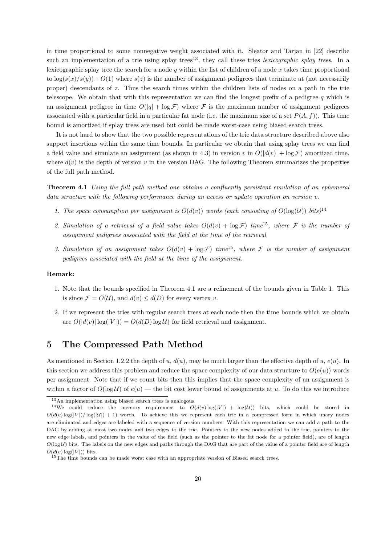in time proportional to some nonnegative weight associated with it. Sleator and Tarjan in [22] describe such an implementation of a trie using splay trees<sup>13</sup>, they call these tries lexicographic splay trees. In a lexicographic splay tree the search for a node  $y$  within the list of children of a node  $x$  takes time proportional to  $\log(s(x)/s(y))+O(1)$  where  $s(z)$  is the number of assignment pedigrees that terminate at (not necessarily proper) descendants of  $z$ . Thus the search times within the children lists of nodes on a path in the trie telescope. We obtain that with this representation we can find the longest prefix of a pedigree q which is an assignment pedigree in time  $O(|q| + \log \mathcal{F})$  where  $\mathcal F$  is the maximum number of assignment pedigrees associated with a particular field in a particular fat node (i.e. the maximum size of a set  $P(A, f)$ ). This time bound is amortized if splay trees are used but could be made worst-case using biased search trees.

It is not hard to show that the two possible representations of the trie data structure described above also support insertions within the same time bounds. In particular we obtain that using splay trees we can find a field value and simulate an assignment (as shown in 4.3) in version v in  $O(|d(v)| + \log \mathcal{F})$  amortized time, where  $d(v)$  is the depth of version v in the version DAG. The following Theorem summarizes the properties of the full path method.

Theorem 4.1 Using the full path method one obtains a confluently persistent emulation of an ephemeral data structure with the following performance during an access or update operation on version v.

- 1. The space consumption per assignment is  $O(d(v))$  words (each consisting of  $O(\log(U))$  bits)<sup>14</sup>
- 2. Simulation of a retrieval of a field value takes  $O(d(v) + \log \mathcal{F})$  time<sup>15</sup>, where  $\mathcal F$  is the number of assignment pedigrees associated with the field at the time of the retrieval.
- 3. Simulation of an assignment takes  $O(d(v) + \log \mathcal{F})$  time<sup>15</sup>, where  $\mathcal F$  is the number of assignment pedigrees associated with the field at the time of the assignment.

## Remark:

- 1. Note that the bounds specified in Theorem 4.1 are a refinement of the bounds given in Table 1. This is since  $\mathcal{F} = O(\mathcal{U})$ , and  $d(v) \leq d(D)$  for every vertex v.
- 2. If we represent the tries with regular search trees at each node then the time bounds which we obtain are  $O(|d(v)| \log(|V|)) = O(d(D) \log U)$  for field retrieval and assignment.

# 5 The Compressed Path Method

As mentioned in Section 1.2.2 the depth of u,  $d(u)$ , may be much larger than the effective depth of u,  $e(u)$ . In this section we address this problem and reduce the space complexity of our data structure to  $O(e(u))$  words per assignment. Note that if we count bits then this implies that the space complexity of an assignment is within a factor of  $O(\log U)$  of  $e(u)$  — the bit cost lower bound of assignments at u. To do this we introduce

<sup>13</sup>An implementation using biased search trees is analogous

<sup>&</sup>lt;sup>14</sup>We could reduce the memory requirement to  $O(d(v) \log(|V|) + \log(U))$  bits, which could be stored in  $O(d(v) \log(|V|) / \log(|\mathcal{U}|) + 1)$  words. To achieve this we represent each trie in a compressed form in which unary nodes are eliminated and edges are labeled with a sequence of version numbers. With this representation we can add a path to the DAG by adding at most two nodes and two edges to the trie. Pointers to the new nodes added to the trie, pointers to the new edge labels, and pointers in the value of the field (such as the pointer to the fat node for a pointer field), are of length  $O(\log U)$  bits. The labels on the new edges and paths through the DAG that are part of the value of a pointer field are of length  $O(d(v) \log(|V|))$  bits.

<sup>&</sup>lt;sup>15</sup>The time bounds can be made worst case with an appropriate version of Biased search trees.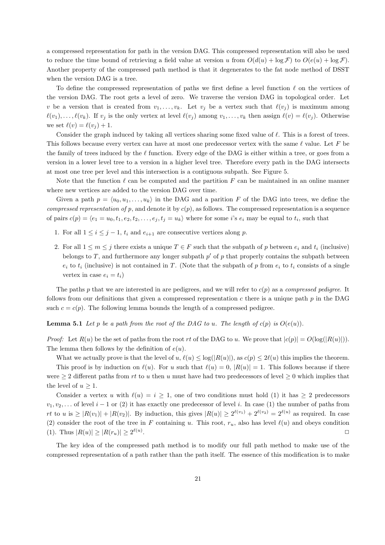a compressed representation for path in the version DAG. This compressed representation will also be used to reduce the time bound of retrieving a field value at version u from  $O(d(u) + \log \mathcal{F})$  to  $O(e(u) + \log \mathcal{F})$ . Another property of the compressed path method is that it degenerates to the fat node method of DSST when the version DAG is a tree.

To define the compressed representation of paths we first define a level function  $\ell$  on the vertices of the version DAG. The root gets a level of zero. We traverse the version DAG in topological order. Let v be a version that is created from  $v_1, \ldots, v_k$ . Let  $v_j$  be a vertex such that  $\ell(v_j)$  is maximum among  $\ell(v_1), \ldots, \ell(v_k)$ . If  $v_j$  is the only vertex at level  $\ell(v_j)$  among  $v_1, \ldots, v_k$  then assign  $\ell(v) = \ell(v_j)$ . Otherwise we set  $\ell(v) = \ell(v_i) + 1$ .

Consider the graph induced by taking all vertices sharing some fixed value of  $\ell$ . This is a forest of trees. This follows because every vertex can have at most one predecessor vertex with the same  $\ell$  value. Let F be the family of trees induced by the  $\ell$  function. Every edge of the DAG is either within a tree, or goes from a version in a lower level tree to a version in a higher level tree. Therefore every path in the DAG intersects at most one tree per level and this intersection is a contiguous subpath. See Figure 5.

Note that the function  $\ell$  can be computed and the partition  $F$  can be maintained in an online manner where new vertices are added to the version DAG over time.

Given a path  $p = \langle u_0, u_1, \ldots, u_k \rangle$  in the DAG and a parition F of the DAG into trees, we define the compressed representation of p, and denote it by  $c(p)$ , as follows. The compressed representation is a sequence of pairs  $c(p) = \langle e_1 = u_0, t_1, e_2, t_2, \dots, e_j, t_j = u_k \rangle$  where for some *i*'s  $e_i$  may be equal to  $t_i$ , such that

- 1. For all  $1 \leq i \leq j-1$ ,  $t_i$  and  $e_{i+1}$  are consecutive vertices along p.
- 2. For all  $1 \leq m \leq j$  there exists a unique  $T \in F$  such that the subpath of p between  $e_i$  and  $t_i$  (inclusive) belongs to  $T$ , and furthermore any longer subpath  $p'$  of  $p$  that properly contains the subpath between  $e_i$  to  $t_i$  (inclusive) is not contained in T. (Note that the subpath of p from  $e_i$  to  $t_i$  consists of a single vertex in case  $e_i = t_i$ )

The paths p that we are interested in are pedigrees, and we will refer to  $c(p)$  as a *compressed pedigree*. It follows from our definitions that given a compressed representation  $c$  there is a unique path  $p$  in the DAG such  $c = c(p)$ . The following lemma bounds the length of a compressed pedigree.

**Lemma 5.1** Let p be a path from the root of the DAG to u. The length of  $c(p)$  is  $O(e(u))$ .

*Proof:* Let  $R(u)$  be the set of paths from the root rt of the DAG to u. We prove that  $|c(p)| = O(\log(|R(u)|))$ . The lemma then follows by the definition of  $e(u)$ .

What we actually prove is that the level of  $u, \ell(u) \leq \log(|R(u)|)$ , as  $c(p) \leq 2\ell(u)$  this implies the theorem. This proof is by induction on  $\ell(u)$ . For u such that  $\ell(u) = 0$ ,  $|R(u)| = 1$ . This follows because if there were  $\geq 2$  different paths from rt to u then u must have had two predecessors of level  $\geq 0$  which implies that the level of  $u \geq 1$ .

Consider a vertex u with  $\ell(u) = i > 1$ , one of two conditions must hold (1) it has  $> 2$  predecessors  $v_1, v_2, \ldots$  of level  $i-1$  or (2) it has exactly one predecessor of level i. In case (1) the number of paths from rt to u is  $\geq |R(v_1)| + |R(v_2)|$ . By induction, this gives  $|R(u)| \geq 2^{\ell(v_1)} + 2^{\ell(v_2)} = 2^{\ell(u)}$  as required. In case (2) consider the root of the tree in F containing u. This root,  $r_u$ , also has level  $\ell(u)$  and obeys condition (1). Thus  $|R(u)| \geq |R(r_u)| \geq 2^{\ell(u)}$ . ✷

The key idea of the compressed path method is to modify our full path method to make use of the compressed representation of a path rather than the path itself. The essence of this modification is to make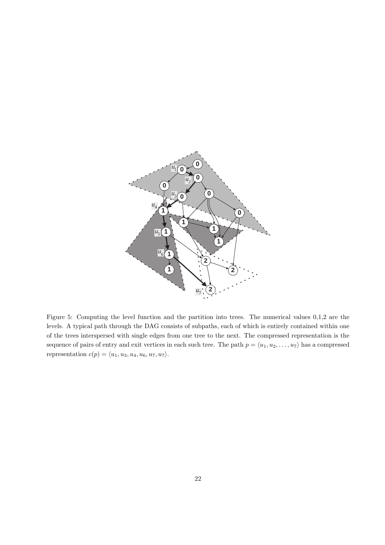

Figure 5: Computing the level function and the partition into trees. The numerical values 0,1,2 are the levels. A typical path through the DAG consists of subpaths, each of which is entirely contained within one of the trees interspersed with single edges from one tree to the next. The compressed representation is the sequence of pairs of entry and exit vertices in each such tree. The path  $p = \langle u_1, u_2, \ldots, u_7 \rangle$  has a compressed representation  $c(p) = \langle u_1, u_3, u_4, u_6, u_7, u_7 \rangle$ .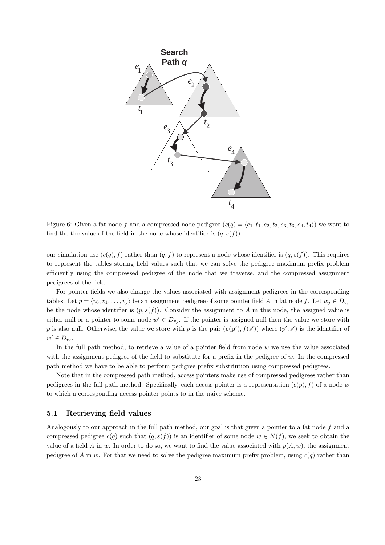

Figure 6: Given a fat node f and a compressed node pedigree  $(c(q) = \langle e_1, t_1, e_2, t_2, e_3, t_3, e_4, t_4 \rangle)$  we want to find the the value of the field in the node whose identifier is  $(q, s(f))$ .

our simulation use  $(c(q), f)$  rather than  $(q, f)$  to represent a node whose identifier is  $(q, s(f))$ . This requires to represent the tables storing field values such that we can solve the pedigree maximum prefix problem efficiently using the compressed pedigree of the node that we traverse, and the compressed assignment pedigrees of the field.

For pointer fields we also change the values associated with assignment pedigrees in the corresponding tables. Let  $p = \langle v_0, v_1, \ldots, v_j \rangle$  be an assignment pedigree of some pointer field A in fat node f. Let  $w_i \in D_{v_i}$ be the node whose identifier is  $(p, s(f))$ . Consider the assignment to A in this node, the assigned value is either null or a pointer to some node  $w' \in D_{v_j}$ . If the pointer is assigned null then the value we store with p is also null. Otherwise, the value we store with p is the pair  $(c(p'), f(s'))$  where  $(p', s')$  is the identifier of  $w' \in D_{v_j}.$ 

In the full path method, to retrieve a value of a pointer field from node  $w$  we use the value associated with the assignment pedigree of the field to substitute for a prefix in the pedigree of  $w$ . In the compressed path method we have to be able to perform pedigree prefix substitution using compressed pedigrees.

Note that in the compressed path method, access pointers make use of compressed pedigrees rather than pedigrees in the full path method. Specifically, each access pointer is a representation  $(c(p), f)$  of a node w to which a corresponding access pointer points to in the naive scheme.

# 5.1 Retrieving field values

Analogously to our approach in the full path method, our goal is that given a pointer to a fat node f and a compressed pedigree  $c(q)$  such that  $(q, s(f))$  is an identifier of some node  $w \in N(f)$ , we seek to obtain the value of a field A in w. In order to do so, we want to find the value associated with  $p(A, w)$ , the assignment pedigree of A in w. For that we need to solve the pedigree maximum prefix problem, using  $c(q)$  rather than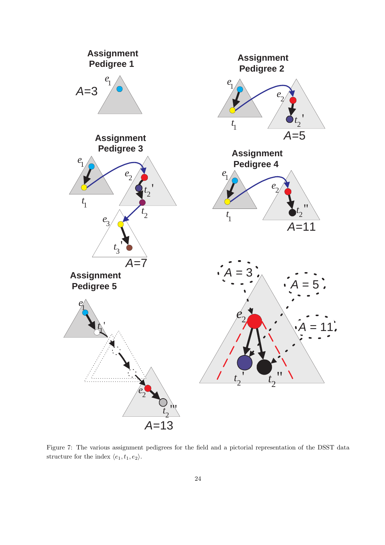

Figure 7: The various assignment pedigrees for the field and a pictorial representation of the DSST data structure for the index  $\langle e_1, t_1, e_2 \rangle$ .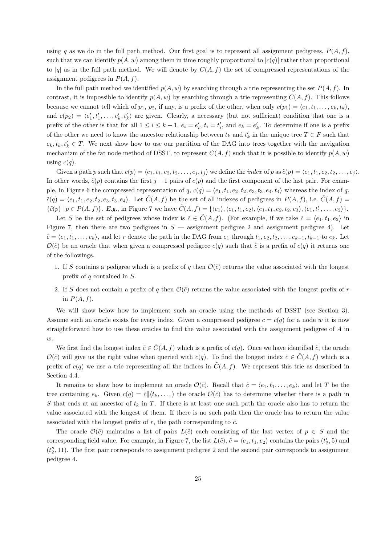using q as we do in the full path method. Our first goal is to represent all assignment pedigrees,  $P(A, f)$ , such that we can identify  $p(A, w)$  among them in time roughly proportional to  $|c(q)|$  rather than proportional to |q| as in the full path method. We will denote by  $C(A, f)$  the set of compressed representations of the assignment pedigrees in  $P(A, f)$ .

In the full path method we identified  $p(A, w)$  by searching through a trie representing the set  $P(A, f)$ . In contrast, it is impossible to identify  $p(A, w)$  by searching through a trie representing  $C(A, f)$ . This follows because we cannot tell which of  $p_1, p_2$ , if any, is a prefix of the other, when only  $c(p_1) = \langle e_1, t_1, \ldots, e_k, t_k \rangle$ , and  $c(p_2) = \langle e'_1, t'_1, \ldots, e'_k, t'_k \rangle$  are given. Clearly, a necessary (but not sufficient) condition that one is a prefix of the other is that for all  $1 \le i \le k-1$ ,  $e_i = e'_i$ ,  $t_i = t'_i$ , and  $e_k = e'_k$ . To determine if one is a prefix of the other we need to know the ancestor relationship between  $t_k$  and  $t'_k$  in the unique tree  $T \in F$  such that  $e_k, t_k, t'_k \in T$ . We next show how to use our partition of the DAG into trees together with the navigation mechanizm of the fat node method of DSST, to represent  $C(A, f)$  such that it is possible to identify  $p(A, w)$ using  $c(q)$ .

Given a path p such that  $c(p) = \langle e_1, t_1, e_2, t_2, \ldots, e_j, t_j \rangle$  we define the *index* of p as  $\tilde{c}(p) = \langle e_1, t_1, e_2, t_2, \ldots, e_j \rangle$ . In other words,  $\tilde{c}(p)$  contains the first  $j - 1$  pairs of  $c(p)$  and the first component of the last pair. For example, in Figure 6 the compressed representation of q,  $c(q) = \langle e_1, t_1, e_2, t_2, e_3, t_3, e_4, t_4 \rangle$  whereas the index of q,  $\tilde{c}(q) = \langle e_1, t_1, e_2, t_2, e_3, t_3, e_4 \rangle$ . Let  $\tilde{C}(A, f)$  be the set of all indexes of pedigrees in  $P(A, f)$ , i.e.  $\tilde{C}(A, f)$  $\{\tilde{c}(p) \mid p \in P(A, f)\}\$ . E.g., in Figure 7 we have  $\tilde{C}(A, f) = \{\langle e_1 \rangle, \langle e_1, t_1, e_2 \rangle, \langle e_1, t_1, e_2, t_2, e_3 \rangle, \langle e_1, t'_1, \ldots, e_2 \rangle\}$ .

Let S be the set of pedigrees whose index is  $\tilde{c} \in \tilde{C}(A, f)$ . (For example, if we take  $\tilde{c} = \langle e_1, t_1, e_2 \rangle$  in Figure 7, then there are two pedigrees in  $S$  — assignment pedigree 2 and assignment pedigree 4). Let  $\tilde{c} = \langle e_1, t_1, \ldots, e_k \rangle$ , and let r denote the path in the DAG from  $e_1$  through  $t_1, e_2, t_2, \ldots, e_{k-1}, t_{k-1}$  to  $e_k$ . Let  $\mathcal{O}(\tilde{c})$  be an oracle that when given a compressed pedigree  $c(q)$  such that  $\tilde{c}$  is a prefix of  $c(q)$  it returns one of the followings.

- 1. If S contains a pedigree which is a prefix of q then  $\mathcal{O}(\tilde{c})$  returns the value associated with the longest prefix of q contained in S.
- 2. If S does not contain a prefix of q then  $\mathcal{O}(\tilde{c})$  returns the value associated with the longest prefix of r in  $P(A, f)$ .

We will show below how to implement such an oracle using the methods of DSST (see Section 3). Assume such an oracle exists for every index. Given a compressed pedigree  $c = c(q)$  for a node w it is now straightforward how to use these oracles to find the value associated with the assignment pedigree of A in  $w$ .

We first find the longest index  $\tilde{c} \in C(A, f)$  which is a prefix of  $c(q)$ . Once we have identified  $\tilde{c}$ , the oracle  $\mathcal{O}(\tilde{c})$  will give us the right value when queried with c(q). To find the longest index  $\tilde{c} \in \tilde{C}(A, f)$  which is a prefix of  $c(q)$  we use a trie representing all the indices in  $\tilde{C}(A, f)$ . We represent this trie as described in Section 4.4.

It remains to show how to implement an oracle  $\mathcal{O}(\tilde{c})$ . Recall that  $\tilde{c} = \langle e_1, t_1, \ldots, e_k \rangle$ , and let T be the tree containing  $e_k$ . Given  $c(q) = \tilde{c} || \langle t_k, \ldots \rangle$  the oracle  $\mathcal{O}(\tilde{c})$  has to determine whether there is a path in S that ends at an ancestor of  $t_k$  in T. If there is at least one such path the oracle also has to return the value associated with the longest of them. If there is no such path then the oracle has to return the value associated with the longest prefix of  $r$ , the path corresponding to  $\tilde{c}$ .

The oracle  $\mathcal{O}(\tilde{c})$  maintains a list of pairs  $L(\tilde{c})$  each consisting of the last vertex of  $p \in S$  and the corresponding field value. For example, in Figure 7, the list  $L(\tilde{c})$ ,  $\tilde{c} = \langle e_1, t_1, e_2 \rangle$  contains the pairs  $(t'_2, 5)$  and  $(t''_2, 11)$ . The first pair corresponds to assignment pedigree 2 and the second pair corresponds to assignment pedigree 4.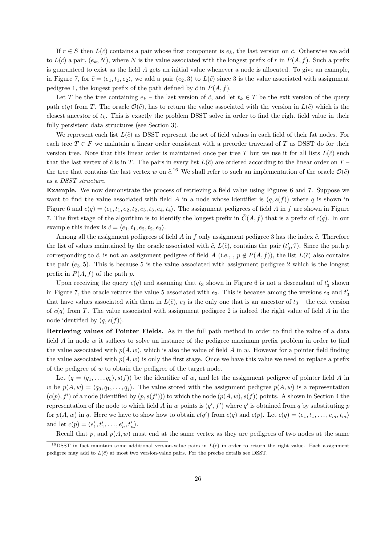If  $r \in S$  then  $L(\tilde{c})$  contains a pair whose first component is  $e_k$ , the last version on  $\tilde{c}$ . Otherwise we add to  $L(\tilde{c})$  a pair,  $(e_k, N)$ , where N is the value associated with the longest prefix of r in  $P(A, f)$ . Such a prefix is guaranteed to exist as the field A gets an initial value whenever a node is allocated. To give an example, in Figure 7, for  $\tilde{c} = \langle e_1, t_1, e_2 \rangle$ , we add a pair  $(e_2, 3)$  to  $L(\tilde{c})$  since 3 is the value associated with assignment pedigree 1, the longest prefix of the path defined by  $\tilde{c}$  in  $P(A, f)$ .

Let T be the tree containing  $e_k$  – the last version of  $\tilde{c}$ , and let  $t_k \in T$  be the exit version of the query path c(q) from T. The oracle  $\mathcal{O}(\tilde{c})$ , has to return the value associated with the version in  $L(\tilde{c})$  which is the closest ancestor of  $t_k$ . This is exactly the problem DSST solve in order to find the right field value in their fully persistent data structures (see Section 3).

We represent each list  $L(\tilde{c})$  as DSST represent the set of field values in each field of their fat nodes. For each tree  $T \in F$  we maintain a linear order consistent with a preorder traversal of T as DSST do for their version tree. Note that this linear order is maintained once per tree T but we use it for all lists  $L(\tilde{c})$  such that the last vertex of  $\tilde{c}$  is in T. The pairs in every list  $L(\tilde{c})$  are ordered according to the linear order on T – the tree that contains the last vertex w on  $\tilde{c}$ .<sup>16</sup> We shall refer to such an implementation of the oracle  $\mathcal{O}(\tilde{c})$ as a DSST structure.

Example. We now demonstrate the process of retrieving a field value using Figures 6 and 7. Suppose we want to find the value associated with field A in a node whose identifier is  $(q, s(f))$  where q is shown in Figure 6 and  $c(q) = \langle e_1, t_1, e_2, t_2, e_3, t_3, e_4, t_4 \rangle$ . The assignment pedigrees of field A in f are shown in Figure 7. The first stage of the algorithm is to identify the longest prefix in  $\tilde{C}(A, f)$  that is a prefix of  $c(q)$ . In our example this index is  $\tilde{c} = \langle e_1, t_1, e_2, t_2, e_3 \rangle$ .

Among all the assignment pedigrees of field  $A$  in  $f$  only assignment pedigree 3 has the index  $\tilde{c}$ . Therefore the list of values maintained by the oracle associated with  $\tilde{c}$ ,  $L(\tilde{c})$ , contains the pair  $(t'_3, 7)$ . Since the path p corresponding to  $\tilde{c}$ , is not an assignment pedigree of field A (i.e., ,  $p \notin P(A, f)$ ), the list  $L(\tilde{c})$  also contains the pair  $(e_3, 5)$ . This is because 5 is the value associated with assignment pedigree 2 which is the longest prefix in  $P(A, f)$  of the path p.

Upon receiving the query  $c(q)$  and assuming that  $t_3$  shown in Figure 6 is not a descendant of  $t'_3$  shown in Figure 7, the oracle returns the value 5 associated with  $e_3$ . This is because among the versions  $e_3$  and  $t'_3$ that have values associated with them in  $L(\tilde{c})$ ,  $e_3$  is the only one that is an ancestor of  $t_3$  – the exit version of  $c(q)$  from T. The value associated with assignment pedigree 2 is indeed the right value of field A in the node identified by  $(q, s(f))$ .

Retrieving values of Pointer Fields. As in the full path method in order to find the value of a data field A in node w it suffices to solve an instance of the pedigree maximum prefix problem in order to find the value associated with  $p(A, w)$ , which is also the value of field A in w. However for a pointer field finding the value associated with  $p(A, w)$  is only the first stage. Once we have this value we need to replace a prefix of the pedigree of w to obtain the pedigree of the target node.

Let  $(q = \langle q_1, \ldots, q_k \rangle, s(f))$  be the identifier of w, and let the assignment pedigree of pointer field A in w be  $p(A, w) = \langle q_0, q_1, \ldots, q_j \rangle$ . The value stored with the assignment pedigree  $p(A, w)$  is a representation  $(c(p), f')$  of a node (identified by  $(p, s(f'))$ ) to which the node  $(p(A, w), s(f))$  points. A shown in Section 4 the representation of the node to which field A in w points is  $(q', f')$  where q' is obtained from q by substituting p for  $p(A, w)$  in q. Here we have to show how to obtain  $c(q')$  from  $c(q)$  and  $c(p)$ . Let  $c(q) = \langle e_1, t_1, \ldots, e_m, t_m \rangle$ and let  $c(p) = \langle e'_1, t'_1, \dots, e'_n, t'_n \rangle$ .

Recall that p, and  $p(A, w)$  must end at the same vertex as they are pedigrees of two nodes at the same

<sup>&</sup>lt;sup>16</sup>DSST in fact maintain some additional version-value pairs in  $L(\tilde{c})$  in order to return the right value. Each assignment pedigree may add to  $L(\tilde{c})$  at most two version-value pairs. For the precise details see DSST.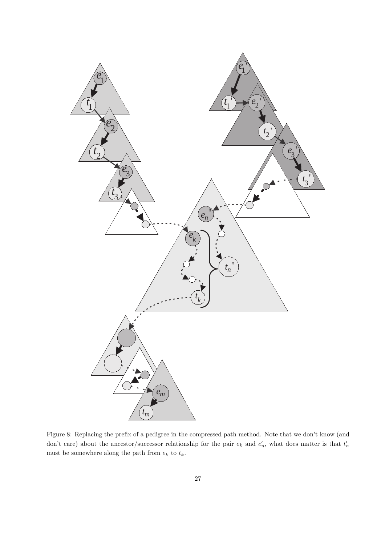

Figure 8: Replacing the prefix of a pedigree in the compressed path method. Note that we don't know (and don't care) about the ancestor/successor relationship for the pair  $e_k$  and  $e'_n$ , what does matter is that  $t'_n$ must be somewhere along the path from  $\boldsymbol{e}_k$  to  $t_k.$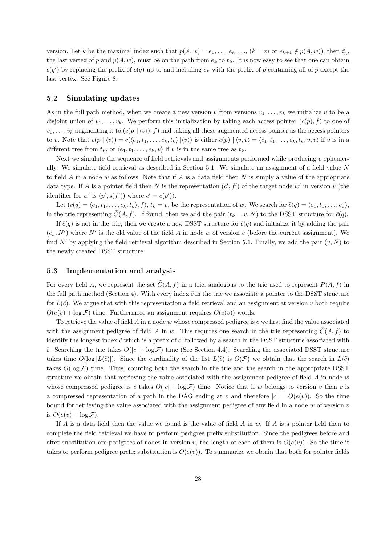version. Let k be the maximal index such that  $p(A, w) = e_1, \ldots, e_k, \ldots, (k = m \text{ or } e_{k+1} \notin p(A, w))$ , then  $t'_n$ , the last vertex of p and  $p(A, w)$ , must be on the path from  $e_k$  to  $t_k$ . It is now easy to see that one can obtain  $c(q')$  by replacing the prefix of  $c(q)$  up to and including  $e_k$  with the prefix of p containing all of p except the last vertex. See Figure 8.

## 5.2 Simulating updates

As in the full path method, when we create a new version v from versions  $v_1, \ldots, v_k$  we initialize v to be a disjoint union of  $v_1, \ldots, v_k$ . We perform this initialization by taking each access pointer  $(c(p), f)$  to one of  $v_1, \ldots, v_k$  augmenting it to  $(c(p || \langle v \rangle), f)$  and taking all these augmented access pointer as the access pointers to v. Note that  $c(p || \langle v \rangle) = c(\langle e_1, t_1, \ldots, e_k, t_k \rangle || \langle v \rangle)$  is either  $c(p || \langle v, v \rangle) = \langle e_1, t_1, \ldots, e_k, t_k, v, v \rangle$  if v is in a different tree from  $t_k$ , or  $\langle e_1, t_1, \ldots, e_k, v \rangle$  if v is in the same tree as  $t_k$ .

Next we simulate the sequence of field retrievals and assignments performed while producing  $v$  ephemerally. We simulate field retrieval as described in Section 5.1. We simulate an assignment of a field value  $N$ to field A in a node w as follows. Note that if A is a data field then N is simply a value of the appropriate data type. If A is a pointer field then N is the representation  $(c', f')$  of the target node w' in version v (the identifier for w' is  $(p', s(f'))$  where  $c' = c(p')$ .

Let  $(c(q) = \langle e_1, t_1, \ldots, e_k, t_k \rangle, f), t_k = v$ , be the representation of w. We search for  $\tilde{c}(q) = \langle e_1, t_1, \ldots, e_k \rangle,$ in the trie representing  $\tilde{C}(A, f)$ . If found, then we add the pair  $(t_k = v, N)$  to the DSST structure for  $\tilde{c}(q)$ .

If  $\tilde{c}(q)$  is not in the trie, then we create a new DSST structure for  $\tilde{c}(q)$  and initialize it by adding the pair  $(e_k, N')$  where N' is the old value of the field A in node w of version v (before the current assignment). We find N' by applying the field retrieval algorithm described in Section 5.1. Finally, we add the pair  $(v, N)$  to the newly created DSST structure.

#### 5.3 Implementation and analysis

For every field A, we represent the set  $C(A, f)$  in a trie, analogous to the trie used to represent  $P(A, f)$  in the full path method (Section 4). With every index  $\tilde{c}$  in the trie we associate a pointer to the DSST structure for  $L(\tilde{c})$ . We argue that with this representation a field retrieval and an assignment at version v both require  $O(e(v) + \log \mathcal{F})$  time. Furthermore an assignment requires  $O(e(v))$  words.

To retrieve the value of field  $A$  in a node  $w$  whose compressed pedigree is  $c$  we first find the value associated with the assignment pedigree of field A in w. This requires one search in the trie representing  $\tilde{C}(A, f)$  to identify the longest index  $\tilde{c}$  which is a prefix of c, followed by a search in the DSST structure associated with  $\tilde{c}$ . Searching the trie takes  $O(|c| + \log \mathcal{F})$  time (See Section 4.4). Searching the associated DSST structure takes time  $O(\log |L(\tilde{c})|)$ . Since the cardinality of the list  $L(\tilde{c})$  is  $O(\mathcal{F})$  we obtain that the search in  $L(\tilde{c})$ takes  $O(\log \mathcal{F})$  time. Thus, counting both the search in the trie and the search in the appropriate DSST structure we obtain that retrieving the value associated with the assignment pedigree of field  $A$  in node  $w$ whose compressed pedigree is c takes  $O(|c| + \log \mathcal{F})$  time. Notice that if w belongs to version v then c is a compressed representation of a path in the DAG ending at v and therefore  $|c| = O(e(v))$ . So the time bound for retrieving the value associated with the assignment pedigree of any field in a node  $w$  of version  $v$ is  $O(e(v) + \log \mathcal{F})$ .

If A is a data field then the value we found is the value of field A in w. If A is a pointer field then to complete the field retrieval we have to perform pedigree prefix substitution. Since the pedigrees before and after substitution are pedigrees of nodes in version v, the length of each of them is  $O(e(v))$ . So the time it takes to perform pedigree prefix substitution is  $O(e(v))$ . To summarize we obtain that both for pointer fields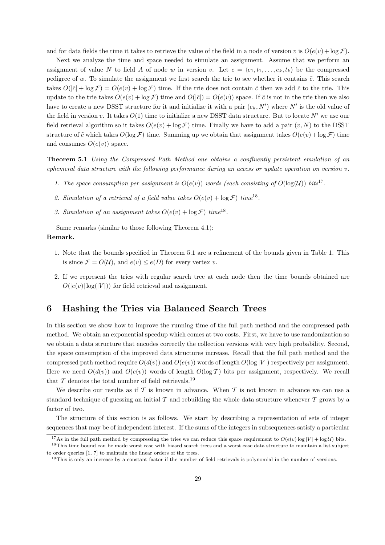and for data fields the time it takes to retrieve the value of the field in a node of version v is  $O(e(v) + \log \mathcal{F})$ .

Next we analyze the time and space needed to simulate an assignment. Assume that we perform an assignment of value N to field A of node w in version v. Let  $c = \langle e_1, t_1, \ldots, e_k, t_k \rangle$  be the compressed pedigree of w. To simulate the assignment we first search the trie to see whether it contains  $\tilde{c}$ . This search takes  $O(|\tilde{c}| + \log \mathcal{F}) = O(e(v) + \log \mathcal{F})$  time. If the trie does not contain  $\tilde{c}$  then we add  $\tilde{c}$  to the trie. This update to the trie takes  $O(e(v) + \log \mathcal{F})$  time and  $O(|\tilde{c}|) = O(e(v))$  space. If  $\tilde{c}$  is not in the trie then we also have to create a new DSST structure for it and initialize it with a pair  $(e_k, N')$  where N' is the old value of the field in version v. It takes  $O(1)$  time to initialize a new DSST data structure. But to locate N' we use our field retrieval algorithm so it takes  $O(e(v) + \log \mathcal{F})$  time. Finally we have to add a pair  $(v, N)$  to the DSST structure of  $\tilde{c}$  which takes  $O(\log \mathcal{F})$  time. Summing up we obtain that assignment takes  $O(e(v) + \log \mathcal{F})$  time and consumes  $O(e(v))$  space.

Theorem 5.1 Using the Compressed Path Method one obtains a confluently persistent emulation of an ephemeral data structure with the following performance during an access or update operation on version v.

- 1. The space consumption per assignment is  $O(e(v))$  words (each consisting of  $O(log(U))$  bits<sup>17</sup>.
- 2. Simulation of a retrieval of a field value takes  $O(e(v) + \log \mathcal{F})$  time<sup>18</sup>.
- 3. Simulation of an assignment takes  $O(e(v) + \log \mathcal{F})$  time<sup>18</sup>.

Same remarks (similar to those following Theorem 4.1):

# Remark.

- 1. Note that the bounds specified in Theorem 5.1 are a refinement of the bounds given in Table 1. This is since  $\mathcal{F} = O(\mathcal{U})$ , and  $e(v) \leq e(D)$  for every vertex v.
- 2. If we represent the tries with regular search tree at each node then the time bounds obtained are  $O(|e(v)| \log(|V|))$  for field retrieval and assignment.

# 6 Hashing the Tries via Balanced Search Trees

In this section we show how to improve the running time of the full path method and the compressed path method. We obtain an exponential speedup which comes at two costs. First, we have to use randomization so we obtain a data structure that encodes correctly the collection versions with very high probability. Second, the space consumption of the improved data structures increase. Recall that the full path method and the compressed path method require  $O(d(v))$  and  $O(e(v))$  words of length  $O(\log |V|)$  respectively per assignment. Here we need  $O(d(v))$  and  $O(e(v))$  words of length  $O(\log T)$  bits per assignment, respectively. We recall that  $\mathcal T$  denotes the total number of field retrievals.<sup>19</sup>

We describe our results as if  $\mathcal T$  is known in advance. When  $\mathcal T$  is not known in advance we can use a standard technique of guessing an initial  $T$  and rebuilding the whole data structure whenever  $T$  grows by a factor of two.

The structure of this section is as follows. We start by describing a representation of sets of integer sequences that may be of independent interest. If the sums of the integers in subsequences satisfy a particular

<sup>&</sup>lt;sup>17</sup>As in the full path method by compressing the tries we can reduce this space requirement to  $O(e(v) \log |V| + \log U)$  bits.

<sup>&</sup>lt;sup>18</sup>This time bound can be made worst case with biased search trees and a worst case data structure to maintain a list subject to order queries [1, 7] to maintain the linear orders of the trees.

 $19$ This is only an increase by a constant factor if the number of field retrievals is polynomial in the number of versions.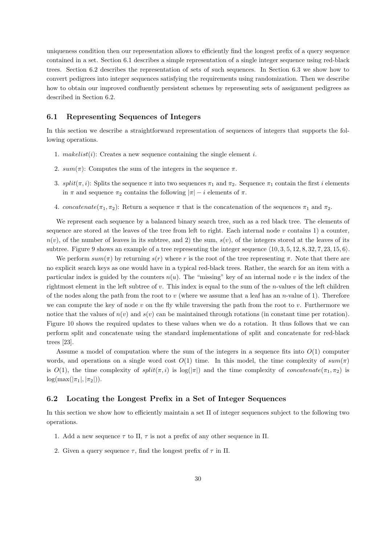uniqueness condition then our representation allows to efficiently find the longest prefix of a query sequence contained in a set. Section 6.1 describes a simple representation of a single integer sequence using red-black trees. Section 6.2 describes the representation of sets of such sequences. In Section 6.3 we show how to convert pedigrees into integer sequences satisfying the requirements using randomization. Then we describe how to obtain our improved confluently persistent schemes by representing sets of assignment pedigrees as described in Section 6.2.

# 6.1 Representing Sequences of Integers

In this section we describe a straightforward representation of sequences of integers that supports the following operations.

- 1.  $makelist(i)$ : Creates a new sequence containing the single element i.
- 2.  $sum(\pi)$ : Computes the sum of the integers in the sequence  $\pi$ .
- 3. split( $\pi$ , i): Splits the sequence  $\pi$  into two sequences  $\pi_1$  and  $\pi_2$ . Sequence  $\pi_1$  contain the first i elements in  $\pi$  and sequence  $\pi_2$  contains the following  $|\pi| - i$  elements of  $\pi$ .
- 4. concatenate( $\pi_1, \pi_2$ ): Return a sequence  $\pi$  that is the concatenation of the sequences  $\pi_1$  and  $\pi_2$ .

We represent each sequence by a balanced binary search tree, such as a red black tree. The elements of sequence are stored at the leaves of the tree from left to right. Each internal node  $v$  contains 1) a counter,  $n(v)$ , of the number of leaves in its subtree, and 2) the sum,  $s(v)$ , of the integers stored at the leaves of its subtree. Figure 9 shows an example of a tree representing the integer sequence  $\langle 10, 3, 5, 12, 8, 32, 7, 23, 15, 6 \rangle$ .

We perform  $sum(\pi)$  by returning  $s(r)$  where r is the root of the tree representing  $\pi$ . Note that there are no explicit search keys as one would have in a typical red-black trees. Rather, the search for an item with a particular index is guided by the counters  $n(u)$ . The "missing" key of an internal node v is the index of the rightmost element in the left subtree of  $v$ . This index is equal to the sum of the *n*-values of the left children of the nodes along the path from the root to v (where we assume that a leaf has an n-value of 1). Therefore we can compute the key of node v on the fly while traversing the path from the root to v. Furthermore we notice that the values of  $n(v)$  and  $s(v)$  can be maintained through rotations (in constant time per rotation). Figure 10 shows the required updates to these values when we do a rotation. It thus follows that we can perform split and concatenate using the standard implementations of split and concatenate for red-black trees [23].

Assume a model of computation where the sum of the integers in a sequence fits into  $O(1)$  computer words, and operations on a single word cost  $O(1)$  time. In this model, the time complexity of sum( $\pi$ ) is  $O(1)$ , the time complexity of split( $\pi, i$ ) is log( $|\pi|$ ) and the time complexity of *concatenate*( $\pi_1, \pi_2$ ) is  $\log(\max(|\pi_1|, |\pi_2|)).$ 

# 6.2 Locating the Longest Prefix in a Set of Integer Sequences

In this section we show how to efficiently maintain a set Π of integer sequences subject to the following two operations.

- 1. Add a new sequence  $\tau$  to  $\Pi$ ,  $\tau$  is not a prefix of any other sequence in  $\Pi$ .
- 2. Given a query sequence  $\tau$ , find the longest prefix of  $\tau$  in  $\Pi$ .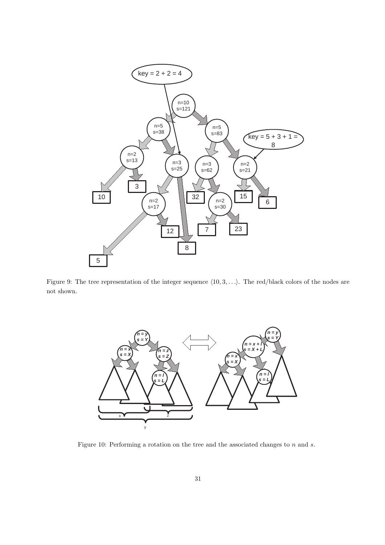

Figure 9: The tree representation of the integer sequence  $\langle 10, 3, \ldots \rangle$ . The red/black colors of the nodes are not shown.



Figure 10: Performing a rotation on the tree and the associated changes to  $n$  and  $s$ .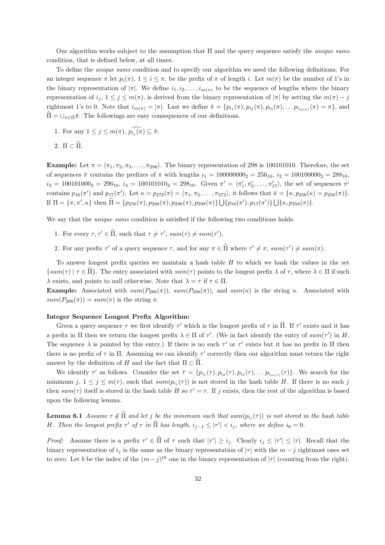Our algorithm works subject to the assumption that  $\Pi$  and the query sequence satisfy the *unique sums* condition, that is defined below, at all times.

To define the unique sums condition and to specify our algorithm we need the following definitions. For an integer sequence  $\pi$  let  $p_i(\pi)$ ,  $1 \leq i \leq \pi$ , be the prefix of  $\pi$  of length i. Let  $m(\pi)$  be the number of 1's in the binary representation of  $|\pi|$ . We define  $i_1, i_2, \ldots, i_{m(\pi)}$  to be the sequence of lengths where the binary representation of  $i_j$ ,  $1 \leq j \leq m(\pi)$ , is derived from the binary representation of  $|\pi|$  by setting the  $m(\pi) - j$ rightmost 1's to 0. Note that  $i_{m(\pi)} = |\pi|$ . Last we define  $\hat{\pi} = \{p_{i_1}(\pi), p_{i_2}(\pi), p_{i_3}(\pi), \ldots p_{i_{m(\pi)}}(\pi) = \pi\}$ , and  $\Pi = \bigcup_{\pi \in \Pi} \hat{\pi}$ . The followings are easy consequences of our definitions.

- 1. For any  $1 \leq j \leq m(\pi)$ ,  $p_{i_j}(\pi) \subseteq \hat{\pi}$ .
- 2.  $\Pi \subset \widehat{\Pi}$ .

**Example:** Let  $\pi = \langle \pi_1, \pi_2, \pi_3, \dots, \pi_{298} \rangle$ . The binary representation of 298 is 100101010. Therefore, the set of sequences  $\hat{\pi}$  contains the prefixes of  $\pi$  with lengths  $i_1 = 100000000_2 = 256_{10}$ ,  $i_2 = 100100000_2 = 288_{10}$ ,  $i_3 = 100101000_2 = 296_{10}$ ,  $i_4 = 100101010_2 = 298_{10}$ . Given  $\pi' = \langle \pi'_1, \pi'_2, \ldots, \pi'_{17} \rangle$ , the set of sequences  $\hat{\pi'}$ contains  $p_{16}(\pi')$  and  $p_{17}(\pi')$ . Let  $\kappa = p_{272}(\pi) = \langle \pi_1, \pi_2, \ldots, \pi_{272} \rangle$ , it follows that  $\hat{\kappa} = {\kappa, p_{256}(\kappa) = p_{256}(\pi)}$ . If  $\Pi = {\pi, \pi', \kappa}$  then  $\hat{\Pi} = \{p_{256}(\pi), p_{288}(\pi), p_{296}(\pi), p_{298}(\pi)\}\bigcup \{p_{16}(\pi'), p_{17}(\pi')\}\bigcup \{\kappa, p_{256}(\pi)\}.$ 

We say that the *unique sums* condition is satisfied if the following two conditions holds.

- 1. For every  $\tau, \tau' \in \hat{\Pi}$ , such that  $\tau \neq \tau'$ , sum $(\tau) \neq sum(\tau')$ .
- 2. For any prefix  $\tau'$  of a query sequence  $\tau$ , and for any  $\pi \in \widehat{\Pi}$  where  $\tau' \neq \pi$ ,  $sum(\tau') \neq sum(\pi)$ .

To answer longest prefix queries we maintain a hash table  $H$  to which we hash the values in the set  $\{\text{sum}(\tau) | \tau \in \Pi\}$ . The entry associated with  $\text{sum}(\tau)$  points to the longest prefix  $\lambda$  of  $\tau$ , where  $\lambda \in \Pi$  if such  $\lambda$  exists, and points to null otherwise. Note that  $\lambda = \tau$  if  $\tau \in \Pi$ .

Example: Associated with  $sum(P_{288}(\pi))$ ,  $sum(P_{296}(\pi))$ , and  $sum(\kappa)$  is the string  $\kappa$ . Associated with  $sum(P_{298}(\pi)) = sum(\pi)$  is the string  $\pi$ .

#### Integer Sequence Longest Prefix Algorithm:

Given a query sequence  $\tau$  we first identify  $\tau'$  which is the longest prefix of  $\tau$  in  $\Pi$ . If  $\tau'$  exists and it has a prefix in  $\Pi$  then we return the longest prefix  $\lambda \in \Pi$  of  $\tau'$ . (We in fact identify the entry of  $sum(\tau')$  in H. The sequence  $\lambda$  is pointed by this entry.) If there is no such  $\tau'$  or  $\tau'$  exists but it has no prefix in  $\Pi$  then there is no prefix of  $\tau$  in  $\Pi$ . Assuming we can identify  $\tau'$  correctly then our algorithm must return the right answer by the definition of H and the fact that  $\Pi \subset \widehat{\Pi}$ .

We identify  $\tau'$  as follows. Consider the set  $\hat{\tau} = \{p_{i_1}(\tau), p_{i_2}(\tau), p_{i_3}(\tau), \ldots p_{i_{m(\tau)}}(\tau)\}\.$  We search for the minimum j,  $1 \leq j \leq m(\tau)$ , such that  $sum(p_{i_j}(\tau))$  is not stored in the hash table H. If there is no such j then  $sum(\tau)$  itself is stored in the hash table H so  $\tau' = \tau$ . If j exists, then the rest of the algorithm is based upon the following lemma.

**Lemma 6.1** Assume  $\tau \notin \Pi$  and let j be the minimum such that sum $(p_{i_j}(\tau))$  is not stored in the hash table H. Then the longest prefix  $\tau'$  of  $\tau$  in  $\widehat{\Pi}$  has length,  $i_{j-1} \leq |\tau'| < i_j$ , where we define  $i_0 = 0$ .

Proof: Assume there is a prefix  $\tau' \in \hat{\Pi}$  of  $\tau$  such that  $|\tau'| \geq i_j$ . Clearly  $i_j \leq |\tau'| \leq |\tau|$ . Recall that the binary representation of  $i_j$  is the same as the binary representation of  $|\tau|$  with the  $m - j$  rightmost ones set to zero. Let b be the index of the  $(m-j)^{th}$  one in the binary representation of  $|\tau|$  (counting from the right).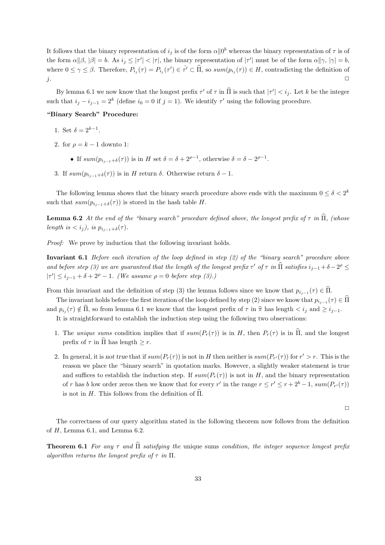It follows that the binary representation of  $i_j$  is of the form  $\alpha||0^b$  whereas the binary representation of  $\tau$  is of the form  $\alpha ||\beta, |\beta| = b$ . As  $i_j \leq |\tau'| < |\tau|$ , the binary representation of  $|\tau'|$  must be of the form  $\alpha ||\gamma, |\gamma| = b$ , where  $0 \leq \gamma \leq \beta$ . Therefore,  $P_{i_j}(\tau) = P_{i_j}(\tau') \in \hat{\tau'} \subset \widehat{\Pi}$ , so  $sum(p_{i_j}(\tau)) \in H$ , contradicting the definition of  $j.$ 

By lemma 6.1 we now know that the longest prefix  $\tau'$  of  $\tau$  in  $\overline{\Pi}$  is such that  $|\tau'| < i_j$ . Let k be the integer such that  $i_j - i_{j-1} = 2^k$  (define  $i_0 = 0$  if  $j = 1$ ). We identify  $\tau'$  using the following procedure.

## "Binary Search" Procedure:

- 1. Set  $\delta = 2^{k-1}$ .
- 2. for  $\rho = k 1$  downto 1:
	- If  $sum(p_{i_{j-1}+\delta}(\tau))$  is in H set  $\delta = \delta + 2^{\rho-1}$ , otherwise  $\delta = \delta 2^{\rho-1}$ .
- 3. If  $sum(p_{i_{i-1}+\delta}(\tau))$  is in H return  $\delta$ . Otherwise return  $\delta-1$ .

The following lemma shows that the binary search procedure above ends with the maximum  $0 \le \delta < 2^k$ such that  $sum(p_{i_{i-1}+\delta}(\tau))$  is stored in the hash table H.

**Lemma 6.2** At the end of the "binary search" procedure defined above, the longest prefix of  $\tau$  in  $\widehat{\Pi}$ , (whose length is  $\langle i_j \rangle$ , is  $p_{i_{j-1}+\delta}(\tau)$ .

Proof: We prove by induction that the following invariant holds.

Invariant 6.1 Before each iteration of the loop defined in step (2) of the "binary search" procedure above and before step (3) we are guaranteed that the length of the longest prefix  $\tau'$  of  $\tau$  in  $\hat{\Pi}$  satisfies  $i_{j-1} + \delta - 2^{\rho} \leq$  $|\tau'| \leq i_{j-1} + \delta + 2^{\rho} - 1$ . (We assume  $\rho = 0$  before step (3).)

From this invariant and the definition of step (3) the lemma follows since we know that  $p_{i_{j-1}}(\tau) \in \Pi$ .

The invariant holds before the first iteration of the loop defined by step (2) since we know that  $p_{i_{j-1}}(\tau) \in \Pi$ and  $p_{i_j}(\tau) \notin \Pi$ , so from lemma 6.1 we know that the longest prefix of  $\tau$  in  $\hat{\pi}$  has length  $\langle i_j \rangle$  and  $\geq i_{j-1}$ .

It is straightforward to establish the induction step using the following two observations:

- 1. The unique sums condition implies that if  $sum(P_r(\tau))$  is in H, then  $P_r(\tau)$  is in  $\widehat{\Pi}$ , and the longest prefix of  $\tau$  in  $\widehat{\Pi}$  has length  $\geq r$ .
- 2. In general, it is not true that if  $sum(P_r(\tau))$  is not in H then neither is  $sum(P_{r'}(\tau))$  for  $r' > r$ . This is the reason we place the "binary search" in quotation marks. However, a slightly weaker statement is true and suffices to establish the induction step. If  $sum(P_r(\tau))$  is not in H, and the binary representation of r has b low order zeros then we know that for every r' in the range  $r \le r' \le r + 2^b - 1$ ,  $sum(P_{r'}(\tau))$ is not in H. This follows from the definition of  $\hat{\Pi}$ .

 $\Box$ 

The correctness of our query algorithm stated in the following theorem now follows from the definition of H, Lemma 6.1, and Lemma 6.2.

**Theorem 6.1** For any  $\tau$  and  $\widehat{\Pi}$  satisfying the unique sums condition, the integer sequence longest prefix algorithm returns the longest prefix of  $\tau$  in  $\Pi$ .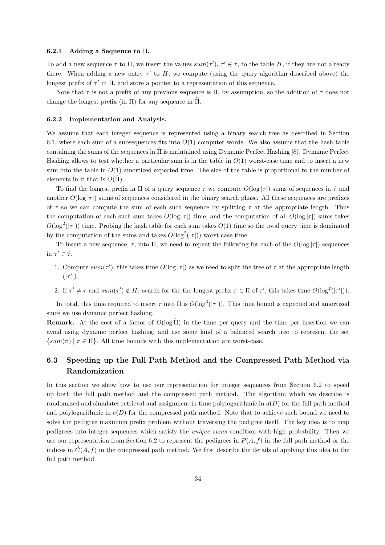#### 6.2.1 Adding a Sequence to Π.

To add a new sequence  $\tau$  to  $\Pi$ , we insert the values  $sum(\tau')$ ,  $\tau' \in \hat{\tau}$ , to the table H, if they are not already there. When adding a new entry  $\tau'$  to H, we compute (using the query algorithm described above) the longest prefix of  $\tau'$  in  $\Pi$ , and store a pointer to a representation of this sequence.

Note that  $\tau$  is not a prefix of any previous sequence is  $\Pi$ , by assumption, so the addition of  $\tau$  does not change the longest prefix (in  $\Pi$ ) for any sequence in  $\Pi$ .

#### 6.2.2 Implementation and Analysis.

We assume that each integer sequence is represented using a binary search tree as described in Section 6.1, where each sum of a subsequences fits into  $O(1)$  computer words. We also assume that the hash table containing the sums of the sequences in  $\hat{\Pi}$  is maintained using Dynamic Perfect Hashing [8]. Dynamic Perfect Hashing allows to test whether a particular sum is in the table in  $O(1)$  worst-case time and to insert a new sum into the table in  $O(1)$  amortized expected time. The size of the table is proportional to the number of elements in it that is  $O(\hat{\Pi})$ .

To find the longest prefix in  $\Pi$  of a query sequence  $\tau$  we compute  $O(\log |\tau|)$  sums of sequences in  $\hat{\tau}$  and another  $O(\log |\tau|)$  sums of sequences considered in the binary search phase. All these sequences are prefixes of  $\tau$  so we can compute the sum of each such sequence by splitting  $\tau$  at the appropriate length. Thus the computation of each such sum takes  $O(\log |\tau|)$  time, and the computation of all  $O(\log |\tau|)$  sums takes  $O(\log^2(|\tau|))$  time. Probing the hash table for each sum takes  $O(1)$  time so the total query time is dominated by the computation of the sums and takes  $O(\log^2(|\tau|))$  worst case time.

To insert a new sequence,  $\tau$ , into  $\Pi$ , we need to repeat the following for each of the  $O(\log |\tau|)$  sequences in  $\tau' \in \hat{\tau}$ .

- 1. Compute  $sum(\tau')$ , this takes time  $O(\log |\tau|)$  as we need to split the tree of  $\tau$  at the appropriate length  $(|\tau'|)$ .
- 2. If  $\tau' \neq \tau$  and  $sum(\tau') \notin H$ : search for the the longest prefix  $\pi \in \Pi$  of  $\tau'$ , this takes time  $O(\log^2(|\tau'|))$ .

In total, this time required to insert  $\tau$  into  $\Pi$  is  $O(\log^3(|\tau|))$ . This time bound is expected and amortized since we use dynamic perfect hashing.

**Remark.** At the cost of a factor of  $O(\log \widehat{\Pi})$  in the time per query and the time per insertion we can avoid using dynamic perfect hashing, and use some kind of a balanced search tree to represent the set  $\{sum(\pi) | \pi \in \Pi\}$ . All time bounds with this implementation are worst-case.

# 6.3 Speeding up the Full Path Method and the Compressed Path Method via Randomization

In this section we show how to use our representation for integer sequences from Section 6.2 to speed up both the full path method and the compressed path method. The algorithm which we describe is randomized and simulates retrieval and assignment in time polylogarithmic in  $d(D)$  for the full path method and polylogarithmic in  $e(D)$  for the compressed path method. Note that to achieve such bound we need to solve the pedigree maximum prefix problem without traversing the pedigree itself. The key idea is to map pedigrees into integer sequences which satisfy the unique sums condition with high probability. Then we use our representation from Section 6.2 to represent the pedigrees in  $P(A, f)$  in the full path method or the indices in  $\tilde{C}(A, f)$  in the compressed path method. We first describe the details of applying this idea to the full path method.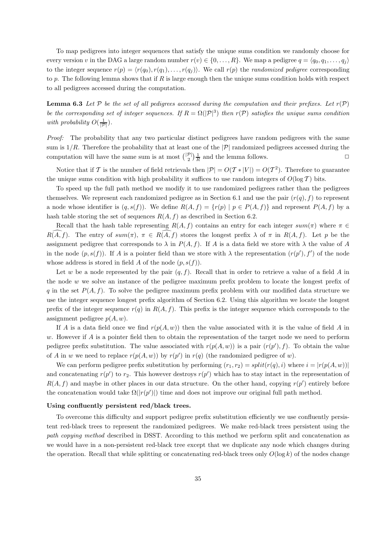To map pedigrees into integer sequences that satisfy the unique sums condition we randomly choose for every version v in the DAG a large random number  $r(v) \in \{0, \ldots, R\}$ . We map a pedigree  $q = \langle q_0, q_1, \ldots, q_i \rangle$ to the integer sequence  $r(p) = \langle r(q_0), r(q_1), \ldots, r(q_j) \rangle$ . We call  $r(p)$  the *randomized pedigree* corresponding to p. The following lemma shows that if R is large enough then the unique sums condition holds with respect to all pedigrees accessed during the computation.

**Lemma 6.3** Let  $\mathcal{P}$  be the set of all pedigrees accessed during the computation and their prefixes. Let  $r(\mathcal{P})$ be the corresponding set of integer sequences. If  $R = \Omega(|\mathcal{P}|^3)$  then  $r(\mathcal{P})$  satisfies the unique sums condition with probability  $O(\frac{1}{|\mathcal{P}|}).$ 

Proof: The probability that any two particular distinct pedigrees have random pedigrees with the same sum is  $1/R$ . Therefore the probability that at least one of the  $|\mathcal{P}|$  randomized pedigrees accessed during the computation will have the same sum is at most  $\binom{|\mathcal{P}|}{2} \frac{1}{R}$  and the lemma follows.

Notice that if T is the number of field retrievals then  $|\mathcal{P}| = O(\mathcal{T} * |V|) = O(\mathcal{T}^2)$ . Therefore to guarantee the unique sums condition with high probability it suffices to use random integers of  $O(\log T)$  bits.

To speed up the full path method we modify it to use randomized pedigrees rather than the pedigrees themselves. We represent each randomized pedigree as in Section 6.1 and use the pair  $(r(q), f)$  to represent a node whose identifier is  $(q, s(f))$ . We define  $R(A, f) = \{r(p) | p \in P(A, f)\}$  and represent  $P(A, f)$  by a hash table storing the set of sequences  $R(A, f)$  as described in Section 6.2.

Recall that the hash table representing  $R(A, f)$  contains an entry for each integer sum(π) where  $\pi \in$  $R(A, f)$ . The entry of sum( $\pi$ ),  $\pi \in R(A, f)$  stores the longest prefix  $\lambda$  of  $\pi$  in  $R(A, f)$ . Let p be the assignment pedigree that corresponds to  $\lambda$  in  $P(A, f)$ . If A is a data field we store with  $\lambda$  the value of A in the node  $(p, s(f))$ . If A is a pointer field than we store with  $\lambda$  the representation  $(r(p'), f')$  of the node whose address is stored in field A of the node  $(p, s(f))$ .

Let w be a node represented by the pair  $(q, f)$ . Recall that in order to retrieve a value of a field A in the node w we solve an instance of the pedigree maximum prefix problem to locate the longest prefix of q in the set  $P(A, f)$ . To solve the pedigree maximum prefix problem with our modified data structure we use the integer sequence longest prefix algorithm of Section 6.2. Using this algorithm we locate the longest prefix of the integer sequence  $r(q)$  in  $R(A, f)$ . This prefix is the integer sequence which corresponds to the assignment pedigree  $p(A, w)$ .

If A is a data field once we find  $r(p(A, w))$  then the value associated with it is the value of field A in w. However if A is a pointer field then to obtain the representation of the target node we need to perform pedigree prefix substitution. The value associated with  $r(p(A, w))$  is a pair  $(r(p'), f)$ . To obtain the value of A in w we need to replace  $r(p(A, w))$  by  $r(p')$  in  $r(q)$  (the randomized pedigree of w).

We can perform pedigree prefix substitution by performing  $(r_1, r_2) = split(r(q), i)$  where  $i = |r(p(A, w))|$ and concatenating  $r(p')$  to  $r_2$ . This however destroys  $r(p')$  which has to stay intact in the representation of  $R(A, f)$  and maybe in other places in our data structure. On the other hand, copying  $r(p')$  entirely before the concatenation would take  $\Omega(|r(p')|)$  time and does not improve our original full path method.

#### Using confluently persistent red/black trees.

To overcome this difficulty and support pedigree prefix substitution efficiently we use confluently persistent red-black trees to represent the randomized pedigrees. We make red-black trees persistent using the path copying method described in DSST. According to this method we perform split and concatenation as we would have in a non-persistent red-black tree except that we duplicate any node which changes during the operation. Recall that while splitting or concatenating red-black trees only  $O(\log k)$  of the nodes change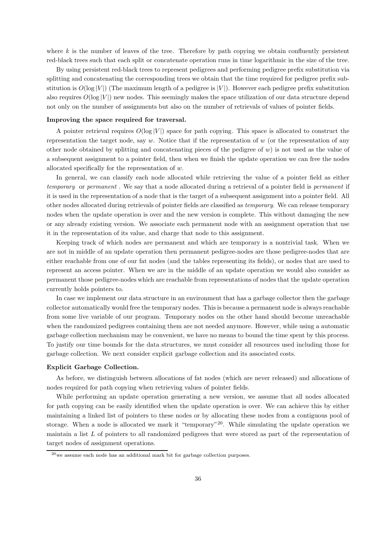where  $k$  is the number of leaves of the tree. Therefore by path copying we obtain confluently persistent red-black trees such that each split or concatenate operation runs in time logarithmic in the size of the tree.

By using persistent red-black trees to represent pedigrees and performing pedigree prefix substitution via splitting and concatenating the corresponding trees we obtain that the time required for pedigree prefix substitution is  $O(\log |V|)$  (The maximum length of a pedigree is  $|V|$ ). However each pedigree prefix substitution also requires  $O(\log |V|)$  new nodes. This seemingly makes the space utilization of our data structure depend not only on the number of assignments but also on the number of retrievals of values of pointer fields.

#### Improving the space required for traversal.

A pointer retrieval requires  $O(\log |V|)$  space for path copying. This space is allocated to construct the representation the target node, say  $w$ . Notice that if the representation of  $w$  (or the representation of any other node obtained by splitting and concatenating pieces of the pedigree of  $w$ ) is not used as the value of a subsequent assignment to a pointer field, then when we finish the update operation we can free the nodes allocated specifically for the representation of w.

In general, we can classify each node allocated while retrieving the value of a pointer field as either temporary or permanent . We say that a node allocated during a retrieval of a pointer field is permanent if it is used in the representation of a node that is the target of a subsequent assignment into a pointer field. All other nodes allocated during retrievals of pointer fields are classified as temporary. We can release temporary nodes when the update operation is over and the new version is complete. This without damaging the new or any already existing version. We associate each permanent node with an assignment operation that use it in the representation of its value, and charge that node to this assignment.

Keeping track of which nodes are permanent and which are temporary is a nontrivial task. When we are not in middle of an update operation then permanent pedigree-nodes are those pedigree-nodes that are either reachable from one of our fat nodes (and the tables representing its fields), or nodes that are used to represent an access pointer. When we are in the middle of an update operation we would also consider as permanent those pedigree-nodes which are reachable from representations of nodes that the update operation currently holds pointers to.

In case we implement our data structure in an environment that has a garbage collector then the garbage collector automatically would free the temporary nodes. This is because a permanent node is always reachable from some live variable of our program. Temporary nodes on the other hand should become unreachable when the randomized pedigrees containing them are not needed anymore. However, while using a automatic garbage collection mechanism may be convenient, we have no means to bound the time spent by this process. To justify our time bounds for the data structures, we must consider all resources used including those for garbage collection. We next consider explicit garbage collection and its associated costs.

#### Explicit Garbage Collection.

As before, we distinguish between allocations of fat nodes (which are never released) and allocations of nodes required for path copying when retrieving values of pointer fields.

While performing an update operation generating a new version, we assume that all nodes allocated for path copying can be easily identified when the update operation is over. We can achieve this by either maintaining a linked list of pointers to these nodes or by allocating these nodes from a contiguous pool of storage. When a node is allocated we mark it "temporary"<sup>20</sup>. While simulating the update operation we maintain a list L of pointers to all randomized pedigrees that were stored as part of the representation of target nodes of assignment operations.

 $^{20}$ we assume each node has an additional mark bit for garbage collection purposes.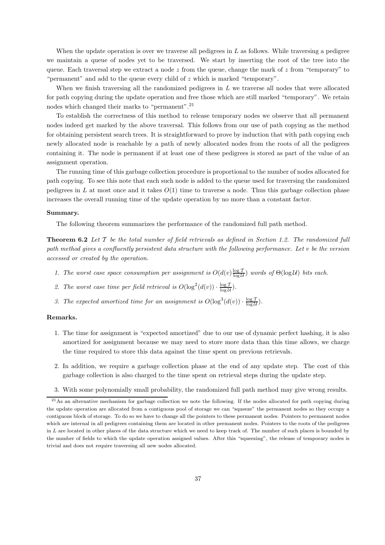When the update operation is over we traverse all pedigrees in  $L$  as follows. While traversing a pedigree we maintain a queue of nodes yet to be traversed. We start by inserting the root of the tree into the queue. Each traversal step we extract a node  $z$  from the queue, change the mark of  $z$  from "temporary" to "permanent" and add to the queue every child of z which is marked "temporary".

When we finish traversing all the randomized pedigrees in  $L$  we traverse all nodes that were allocated for path copying during the update operation and free those which are still marked "temporary". We retain nodes which changed their marks to "permanent".<sup>21</sup>

To establish the correctness of this method to release temporary nodes we observe that all permanent nodes indeed get marked by the above traversal. This follows from our use of path copying as the method for obtaining persistent search trees. It is straightforward to prove by induction that with path copying each newly allocated node is reachable by a path of newly allocated nodes from the roots of all the pedigrees containing it. The node is permanent if at least one of these pedigrees is stored as part of the value of an assignment operation.

The running time of this garbage collection procedure is proportional to the number of nodes allocated for path copying. To see this note that each such node is added to the queue used for traversing the randomized pedigrees in L at most once and it takes  $O(1)$  time to traverse a node. Thus this garbage collection phase increases the overall running time of the update operation by no more than a constant factor.

#### Summary.

The following theorem summarizes the performance of the randomized full path method.

**Theorem 6.2** Let T be the total number of field retrievals as defined in Section 1.2. The randomized full path method gives a confluently persistent data structure with the following performance. Let v be the version accessed or created by the operation.

- 1. The worst case space consumption per assignment is  $O(d(v) \frac{\log T}{\log U})$  words of  $\Theta(\log U)$  bits each.
- 2. The worst case time per field retrieval is  $O(\log^2(d(v)) \cdot \frac{\log T}{\log U})$ .
- 3. The expected amortized time for an assignment is  $O(\log^3(d(v)) \cdot \frac{\log T}{\log U})$ .

#### Remarks.

- 1. The time for assignment is "expected amortized" due to our use of dynamic perfect hashing, it is also amortized for assignment because we may need to store more data than this time allows, we charge the time required to store this data against the time spent on previous retrievals.
- 2. In addition, we require a garbage collection phase at the end of any update step. The cost of this garbage collection is also charged to the time spent on retrieval steps during the update step.
- 3. With some polynomially small probability, the randomized full path method may give wrong results.

 $^{21}$ As an alternative mechanism for garbage collection we note the following. If the nodes allocated for path copying during the update operation are allocated from a contiguous pool of storage we can "squeeze" the permanent nodes so they occupy a contiguous block of storage. To do so we have to change all the pointers to these permanent nodes. Pointers to permanent nodes which are internal in all pedigrees containing them are located in other permanent nodes. Pointers to the roots of the pedigrees in L are located in other places of the data structure which we need to keep track of. The number of such places is bounded by the number of fields to which the update operation assigned values. After this "squeezing", the release of temporary nodes is trivial and does not require traversing all new nodes allocated.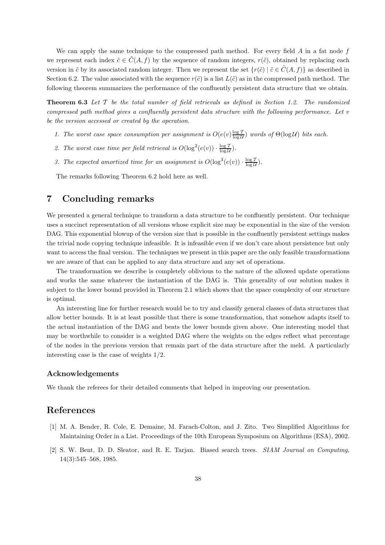We can apply the same technique to the compressed path method. For every field  $A$  in a fat node  $f$ we represent each index  $\tilde{c} \in \tilde{C}(A, f)$  by the sequence of random integers,  $r(\tilde{c})$ , obtained by replacing each version in  $\tilde{c}$  by its associated random integer. Then we represent the set  $\{r(\tilde{c}) \mid \tilde{c} \in \tilde{C}(A, f)\}\$ as described in Section 6.2. The value associated with the sequence  $r(\tilde{c})$  is a list  $L(\tilde{c})$  as in the compressed path method. The following theorem summarizes the performance of the confluently persistent data structure that we obtain.

**Theorem 6.3** Let  $T$  be the total number of field retrievals as defined in Section 1.2. The randomized compressed path method gives a confluently persistent data structure with the following performance. Let v be the version accessed or created by the operation.

- 1. The worst case space consumption per assignment is  $O(e(v) \frac{\log T}{\log U})$  words of  $\Theta(\log U)$  bits each.
- 2. The worst case time per field retrieval is  $O(\log^2(e(v)) \cdot \frac{\log T}{\log U})$ .
- 3. The expected amortized time for an assignment is  $O(\log^3(e(v)) \cdot \frac{\log T}{\log U})$ .

The remarks following Theorem 6.2 hold here as well.

# 7 Concluding remarks

We presented a general technique to transform a data structure to be confluently persistent. Our technique uses a succinct representation of all versions whose explicit size may be exponential in the size of the version DAG. This exponential blowup of the version size that is possible in the confluently persistent settings makes the trivial node copying technique infeasible. It is infeasible even if we don't care about persistence but only want to access the final version. The techniques we present in this paper are the only feasible transformations we are aware of that can be applied to any data structure and any set of operations.

The transformation we describe is completely oblivious to the nature of the allowed update operations and works the same whatever the instantiation of the DAG is. This generality of our solution makes it subject to the lower bound provided in Theorem 2.1 which shows that the space complexity of our structure is optimal.

An interesting line for further research would be to try and classify general classes of data structures that allow better bounds. It is at least possible that there is some transformation, that somehow adapts itself to the actual instantiation of the DAG and beats the lower bounds given above. One interesting model that may be worthwhile to consider is a weighted DAG where the weights on the edges reflect what percentage of the nodes in the previous version that remain part of the data structure after the meld. A particularly interesting case is the case of weights 1/2.

# Acknowledgements

We thank the referees for their detailed comments that helped in improving our presentation.

# References

- [1] M. A. Bender, R. Cole, E. Demaine, M. Farach-Colton, and J. Zito. Two Simplified Algorithms for Maintaining Order in a List. Proceedings of the 10th European Symposium on Algorithms (ESA), 2002.
- [2] S. W. Bent, D. D. Sleator, and R. E. Tarjan. Biased search trees. SIAM Journal on Computing, 14(3):545–568, 1985.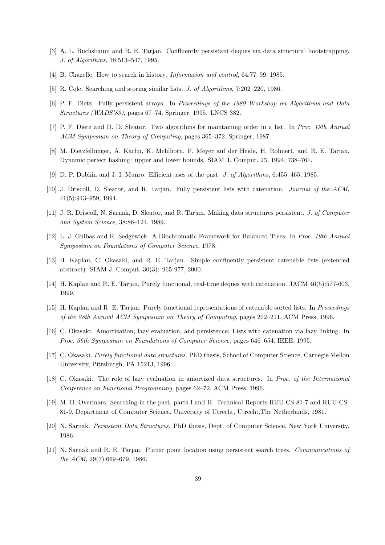- [3] A. L. Buchsbaum and R. E. Tarjan. Confluently persistant deques via data structural bootstrapping. J. of Algorithms, 18:513–547, 1995.
- [4] B. Chazelle. How to search in history. Information and control, 64:77–99, 1985.
- [5] R. Cole. Searching and storing similar lists. J. of Algorithms, 7:202–220, 1986.
- [6] P. F. Dietz. Fully persistent arrays. In Proceedings of the 1989 Workshop on Algorithms and Data Structures (WADS'89), pages 67–74. Springer, 1995. LNCS 382.
- [7] P. F. Dietz and D. D. Sleator. Two algorithms for maintaining order in a list. In Proc. 19th Annual ACM Symposium on Theory of Computing, pages 365–372. Springer, 1987.
- [8] M. Dietzfelbinger, A. Karlin, K. Mehlhorn, F. Meyer auf der Heide, H. Rohnert, and R. E. Tarjan. Dynamic perfect hashing: upper and lower bounds. SIAM J. Comput. 23, 1994, 738–761.
- [9] D. P. Dobkin and J. I. Munro. Efficient uses of the past. J. of Algorithms, 6:455–465, 1985.
- [10] J. Driscoll, D. Sleator, and R. Tarjan. Fully persistent lists with catenation. Journal of the ACM, 41(5):943–959, 1994.
- [11] J. R. Driscoll, N. Sarnak, D. Sleator, and R. Tarjan. Making data structures persistent. J. of Computer and System Science, 38:86–124, 1989.
- [12] L. J. Guibas and R. Sedgewick. A Diochromatic Framework for Balanced Trees. In Proc. 19th Annual Symposium on Foundations of Computer Science, 1978.
- [13] H. Kaplan, C. Okasaki, and R. E. Tarjan. Simple confluently persistent catenable lists (extended abstract). SIAM J. Comput. 30(3): 965-977, 2000.
- [14] H. Kaplan and R. E. Tarjan. Purely functional, real-time deques with catenation. JACM 46(5):577-603, 1999.
- [15] H. Kaplan and R. E. Tarjan. Purely functional representations of catenable sorted lists. In Proceedings of the 28th Annual ACM Symposium on Theory of Computing, pages 202–211. ACM Press, 1996.
- [16] C. Okasaki. Amortization, lazy evaluation, and persistence: Lists with catenation via lazy linking. In Proc. 36th Symposium on Foundations of Computer Science, pages 646–654. IEEE, 1995.
- [17] C. Okasaki. Purely functional data structures. PhD thesis, School of Computer Science, Carnegie Mellon University, Pittsburgh, PA 15213, 1996.
- [18] C. Okasaki. The role of lazy evaluation in amortized data structures. In Proc. of the International Conference on Functional Programming, pages 62–72. ACM Press, 1996.
- [19] M. H. Overmars. Searching in the past, parts I and II. Technical Reports RUU-CS-81-7 and RUU-CS-81-9, Department of Computer Science, University of Utrecht, Utrecht,The Netherlands, 1981.
- [20] N. Sarnak. Persistent Data Structures. PhD thesis, Dept. of Computer Science, New York University, 1986.
- [21] N. Sarnak and R. E. Tarjan. Planar point location using persistent search trees. Communications of the ACM, 29(7):669–679, 1986.